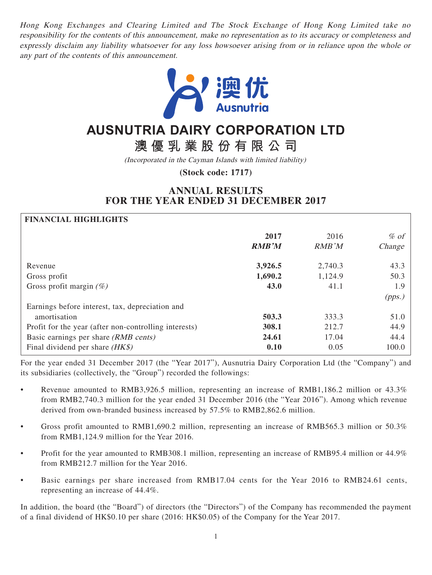Hong Kong Exchanges and Clearing Limited and The Stock Exchange of Hong Kong Limited take no responsibility for the contents of this announcement, make no representation as to its accuracy or completeness and expressly disclaim any liability whatsoever for any loss howsoever arising from or in reliance upon the whole or any part of the contents of this announcement.



# **AUSNUTRIA DAIRY CORPORATION LTD**

**澳優乳業股份有限公司**

(Incorporated in the Cayman Islands with limited liability)

**(Stock code: 1717)**

# **ANNUAL RESULTS FOR THE YEAR ENDED 31 DECEMBER 2017**

| <b>FINANCIAL HIGHLIGHTS</b>                           |              |         |        |
|-------------------------------------------------------|--------------|---------|--------|
|                                                       | 2017         | 2016    | $%$ of |
|                                                       | <b>RMB'M</b> | RMB'M   | Change |
| Revenue                                               | 3,926.5      | 2,740.3 | 43.3   |
| Gross profit                                          | 1,690.2      | 1,124.9 | 50.3   |
| Gross profit margin $(\%)$                            | 43.0         | 41.1    | 1.9    |
|                                                       |              |         | (pps.) |
| Earnings before interest, tax, depreciation and       |              |         |        |
| amortisation                                          | 503.3        | 333.3   | 51.0   |
| Profit for the year (after non-controlling interests) | 308.1        | 212.7   | 44.9   |
| Basic earnings per share (RMB cents)                  | 24.61        | 17.04   | 44.4   |
| Final dividend per share $(HK\$ )                     | 0.10         | 0.05    | 100.0  |

For the year ended 31 December 2017 (the "Year 2017"), Ausnutria Dairy Corporation Ltd (the "Company") and its subsidiaries (collectively, the "Group") recorded the followings:

- Revenue amounted to RMB3,926.5 million, representing an increase of RMB1,186.2 million or 43.3% from RMB2,740.3 million for the year ended 31 December 2016 (the "Year 2016"). Among which revenue derived from own-branded business increased by 57.5% to RMB2,862.6 million.
- Gross profit amounted to RMB1,690.2 million, representing an increase of RMB565.3 million or 50.3% from RMB1,124.9 million for the Year 2016.
- Profit for the year amounted to RMB308.1 million, representing an increase of RMB95.4 million or 44.9% from RMB212.7 million for the Year 2016.
- Basic earnings per share increased from RMB17.04 cents for the Year 2016 to RMB24.61 cents, representing an increase of 44.4%.

In addition, the board (the "Board") of directors (the "Directors") of the Company has recommended the payment of a final dividend of HK\$0.10 per share (2016: HK\$0.05) of the Company for the Year 2017.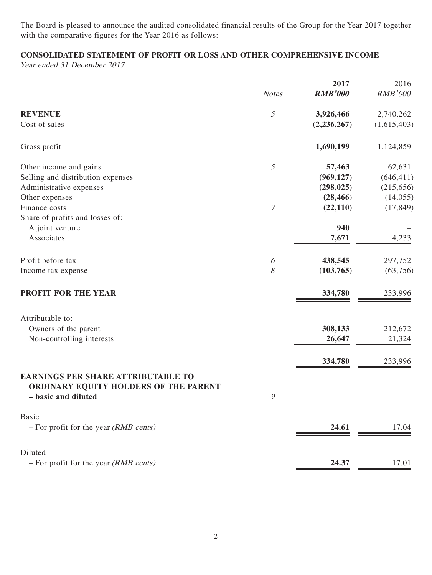The Board is pleased to announce the audited consolidated financial results of the Group for the Year 2017 together with the comparative figures for the Year 2016 as follows:

# **CONSOLIDATED STATEMENT OF PROFIT OR LOSS AND OTHER COMPREHENSIVE INCOME**

Year ended 31 December 2017

|                                                                                                           | <b>Notes</b>     | 2017<br><b>RMB'000</b> | 2016<br><b>RMB'000</b> |
|-----------------------------------------------------------------------------------------------------------|------------------|------------------------|------------------------|
|                                                                                                           |                  |                        |                        |
| <b>REVENUE</b>                                                                                            | $\mathfrak s$    | 3,926,466              | 2,740,262              |
| Cost of sales                                                                                             |                  | (2, 236, 267)          | (1,615,403)            |
| Gross profit                                                                                              |                  | 1,690,199              | 1,124,859              |
| Other income and gains                                                                                    | 5                | 57,463                 | 62,631                 |
| Selling and distribution expenses                                                                         |                  | (969, 127)             | (646, 411)             |
| Administrative expenses                                                                                   |                  | (298, 025)             | (215, 656)             |
| Other expenses                                                                                            |                  | (28, 466)              | (14,055)               |
| Finance costs                                                                                             | $\boldsymbol{7}$ | (22, 110)              | (17, 849)              |
| Share of profits and losses of:                                                                           |                  |                        |                        |
| A joint venture                                                                                           |                  | 940                    |                        |
| Associates                                                                                                |                  | 7,671                  | 4,233                  |
| Profit before tax                                                                                         | 6                | 438,545                | 297,752                |
| Income tax expense                                                                                        | 8                | (103, 765)             | (63,756)               |
| <b>PROFIT FOR THE YEAR</b>                                                                                |                  | 334,780                | 233,996                |
| Attributable to:                                                                                          |                  |                        |                        |
| Owners of the parent                                                                                      |                  | 308,133                | 212,672                |
| Non-controlling interests                                                                                 |                  | 26,647                 | 21,324                 |
|                                                                                                           |                  | 334,780                | 233,996                |
| <b>EARNINGS PER SHARE ATTRIBUTABLE TO</b><br>ORDINARY EQUITY HOLDERS OF THE PARENT<br>- basic and diluted | 9                |                        |                        |
| <b>Basic</b><br>$-$ For profit for the year ( <i>RMB cents</i> )                                          |                  | 24.61                  | 17.04                  |
| Diluted                                                                                                   |                  |                        |                        |
| $-$ For profit for the year ( <i>RMB cents</i> )                                                          |                  | 24.37                  | 17.01                  |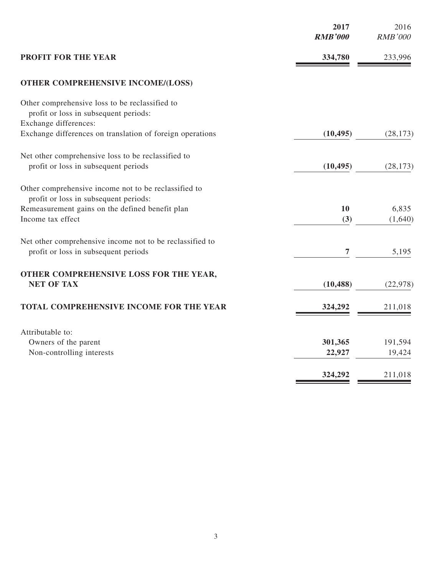|                                                                                                  | 2017<br><b>RMB'000</b> | 2016<br><b>RMB'000</b> |
|--------------------------------------------------------------------------------------------------|------------------------|------------------------|
| PROFIT FOR THE YEAR                                                                              | 334,780                | 233,996                |
| OTHER COMPREHENSIVE INCOME/(LOSS)                                                                |                        |                        |
| Other comprehensive loss to be reclassified to<br>profit or loss in subsequent periods:          |                        |                        |
| Exchange differences:<br>Exchange differences on translation of foreign operations               | (10, 495)              | (28, 173)              |
| Net other comprehensive loss to be reclassified to                                               |                        |                        |
| profit or loss in subsequent periods                                                             | (10, 495)              | (28, 173)              |
| Other comprehensive income not to be reclassified to<br>profit or loss in subsequent periods:    |                        |                        |
| Remeasurement gains on the defined benefit plan<br>Income tax effect                             | 10<br>(3)              | 6,835<br>(1,640)       |
| Net other comprehensive income not to be reclassified to<br>profit or loss in subsequent periods | 7                      | 5,195                  |
| OTHER COMPREHENSIVE LOSS FOR THE YEAR,<br><b>NET OF TAX</b>                                      | (10, 488)              | (22, 978)              |
| TOTAL COMPREHENSIVE INCOME FOR THE YEAR                                                          | 324,292                | 211,018                |
| Attributable to:                                                                                 |                        |                        |
| Owners of the parent<br>Non-controlling interests                                                | 301,365<br>22,927      | 191,594<br>19,424      |
|                                                                                                  | 324,292                | 211,018                |
|                                                                                                  |                        |                        |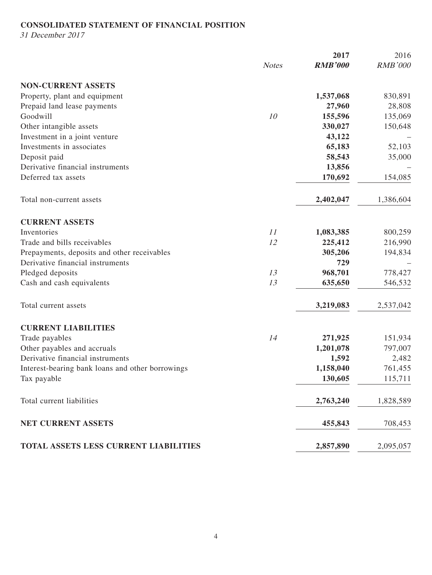# **CONSOLIDATED STATEMENT OF FINANCIAL POSITION**

31 December 2017

|                                                  |              | 2017           | 2016           |
|--------------------------------------------------|--------------|----------------|----------------|
|                                                  | <b>Notes</b> | <b>RMB'000</b> | <b>RMB'000</b> |
| <b>NON-CURRENT ASSETS</b>                        |              |                |                |
| Property, plant and equipment                    |              | 1,537,068      | 830,891        |
| Prepaid land lease payments                      |              | 27,960         | 28,808         |
| Goodwill                                         | 10           | 155,596        | 135,069        |
| Other intangible assets                          |              | 330,027        | 150,648        |
| Investment in a joint venture                    |              | 43,122         |                |
| Investments in associates                        |              | 65,183         | 52,103         |
| Deposit paid                                     |              | 58,543         | 35,000         |
| Derivative financial instruments                 |              | 13,856         |                |
| Deferred tax assets                              |              | 170,692        | 154,085        |
| Total non-current assets                         |              | 2,402,047      | 1,386,604      |
| <b>CURRENT ASSETS</b>                            |              |                |                |
| Inventories                                      | 11           | 1,083,385      | 800,259        |
| Trade and bills receivables                      | 12           | 225,412        | 216,990        |
| Prepayments, deposits and other receivables      |              | 305,206        | 194,834        |
| Derivative financial instruments                 |              | 729            |                |
| Pledged deposits                                 | 13           | 968,701        | 778,427        |
| Cash and cash equivalents                        | 13           | 635,650        | 546,532        |
| Total current assets                             |              | 3,219,083      | 2,537,042      |
| <b>CURRENT LIABILITIES</b>                       |              |                |                |
| Trade payables                                   | 14           | 271,925        | 151,934        |
| Other payables and accruals                      |              | 1,201,078      | 797,007        |
| Derivative financial instruments                 |              | 1,592          | 2,482          |
| Interest-bearing bank loans and other borrowings |              | 1,158,040      | 761,455        |
| Tax payable                                      |              | 130,605        | 115,711        |
| Total current liabilities                        |              | 2,763,240      | 1,828,589      |
| NET CURRENT ASSETS                               |              | 455,843        | 708,453        |
| TOTAL ASSETS LESS CURRENT LIABILITIES            |              | 2,857,890      | 2,095,057      |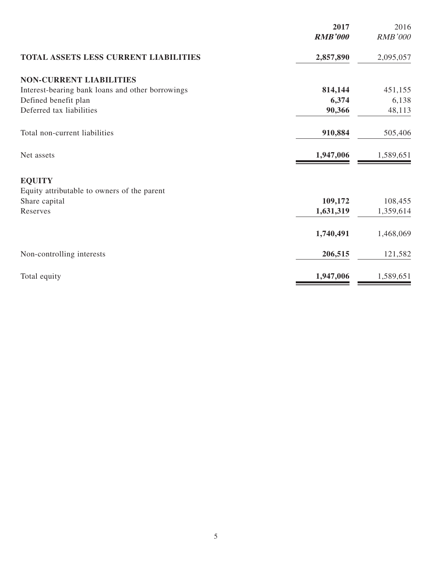|                                                  | 2017           | 2016           |
|--------------------------------------------------|----------------|----------------|
|                                                  | <b>RMB'000</b> | <b>RMB'000</b> |
| TOTAL ASSETS LESS CURRENT LIABILITIES            | 2,857,890      | 2,095,057      |
| <b>NON-CURRENT LIABILITIES</b>                   |                |                |
| Interest-bearing bank loans and other borrowings | 814,144        | 451,155        |
| Defined benefit plan                             | 6,374          | 6,138          |
| Deferred tax liabilities                         | 90,366         | 48,113         |
| Total non-current liabilities                    | 910,884        | 505,406        |
| Net assets                                       | 1,947,006      | 1,589,651      |
| <b>EQUITY</b>                                    |                |                |
| Equity attributable to owners of the parent      |                |                |
| Share capital                                    | 109,172        | 108,455        |
| Reserves                                         | 1,631,319      | 1,359,614      |
|                                                  | 1,740,491      | 1,468,069      |
| Non-controlling interests                        | 206,515        | 121,582        |
| Total equity                                     | 1,947,006      | 1,589,651      |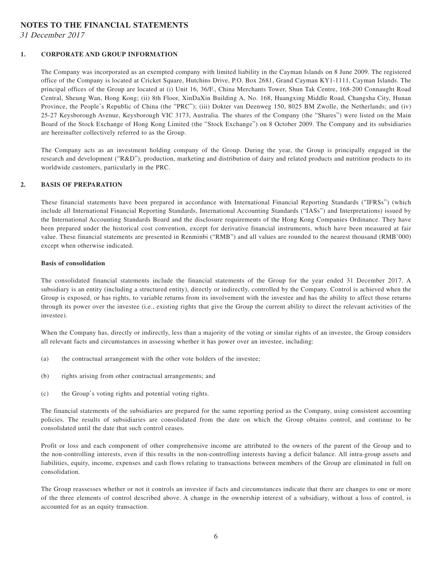### **NOTES TO THE FINANCIAL STATEMENTS**

31 December 2017

#### **1. CORPORATE AND GROUP INFORMATION**

The Company was incorporated as an exempted company with limited liability in the Cayman Islands on 8 June 2009. The registered office of the Company is located at Cricket Square, Hutchins Drive, P.O. Box 2681, Grand Cayman KY1-1111, Cayman Islands. The principal offices of the Group are located at (i) Unit 16, 36/F., China Merchants Tower, Shun Tak Centre, 168-200 Connaught Road Central, Sheung Wan, Hong Kong; (ii) 8th Floor, XinDaXin Building A, No. 168, Huangxing Middle Road, Changsha City, Hunan Province, the People's Republic of China (the "PRC"); (iii) Dokter van Deenweg 150, 8025 BM Zwolle, the Netherlands; and (iv) 25-27 Keysborough Avenue, Keysborough VIC 3173, Australia. The shares of the Company (the "Shares") were listed on the Main Board of the Stock Exchange of Hong Kong Limited (the "Stock Exchange") on 8 October 2009. The Company and its subsidiaries are hereinafter collectively referred to as the Group.

The Company acts as an investment holding company of the Group. During the year, the Group is principally engaged in the research and development ("R&D"), production, marketing and distribution of dairy and related products and nutrition products to its worldwide customers, particularly in the PRC.

#### **2. BASIS OF PREPARATION**

These financial statements have been prepared in accordance with International Financial Reporting Standards ("IFRSs") (which include all International Financial Reporting Standards, International Accounting Standards ("IASs") and Interpretations) issued by the International Accounting Standards Board and the disclosure requirements of the Hong Kong Companies Ordinance. They have been prepared under the historical cost convention, except for derivative financial instruments, which have been measured at fair value. These financial statements are presented in Renminbi ("RMB") and all values are rounded to the nearest thousand (RMB'000) except when otherwise indicated.

#### **Basis of consolidation**

The consolidated financial statements include the financial statements of the Group for the year ended 31 December 2017. A subsidiary is an entity (including a structured entity), directly or indirectly, controlled by the Company. Control is achieved when the Group is exposed, or has rights, to variable returns from its involvement with the investee and has the ability to affect those returns through its power over the investee (i.e., existing rights that give the Group the current ability to direct the relevant activities of the investee).

When the Company has, directly or indirectly, less than a majority of the voting or similar rights of an investee, the Group considers all relevant facts and circumstances in assessing whether it has power over an investee, including:

- (a) the contractual arrangement with the other vote holders of the investee;
- (b) rights arising from other contractual arrangements; and
- (c) the Group's voting rights and potential voting rights.

The financial statements of the subsidiaries are prepared for the same reporting period as the Company, using consistent accounting policies. The results of subsidiaries are consolidated from the date on which the Group obtains control, and continue to be consolidated until the date that such control ceases.

Profit or loss and each component of other comprehensive income are attributed to the owners of the parent of the Group and to the non-controlling interests, even if this results in the non-controlling interests having a deficit balance. All intra-group assets and liabilities, equity, income, expenses and cash flows relating to transactions between members of the Group are eliminated in full on consolidation.

The Group reassesses whether or not it controls an investee if facts and circumstances indicate that there are changes to one or more of the three elements of control described above. A change in the ownership interest of a subsidiary, without a loss of control, is accounted for as an equity transaction.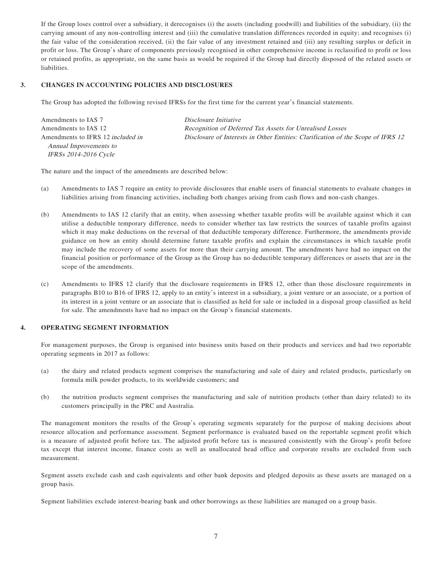If the Group loses control over a subsidiary, it derecognises (i) the assets (including goodwill) and liabilities of the subsidiary, (ii) the carrying amount of any non-controlling interest and (iii) the cumulative translation differences recorded in equity; and recognises (i) the fair value of the consideration received, (ii) the fair value of any investment retained and (iii) any resulting surplus or deficit in profit or loss. The Group's share of components previously recognised in other comprehensive income is reclassified to profit or loss or retained profits, as appropriate, on the same basis as would be required if the Group had directly disposed of the related assets or liabilities.

#### **3. CHANGES IN ACCOUNTING POLICIES AND DISCLOSURES**

The Group has adopted the following revised IFRSs for the first time for the current year's financial statements.

| Amendments to IAS 7                      | Disclosure Initiative                                                            |
|------------------------------------------|----------------------------------------------------------------------------------|
| Amendments to IAS 12                     | Recognition of Deferred Tax Assets for Unrealised Losses                         |
| Amendments to IFRS 12 <i>included in</i> | Disclosure of Interests in Other Entities: Clarification of the Scope of IFRS 12 |
| Annual Improvements to                   |                                                                                  |
| <i>IFRSs 2014-2016 Cycle</i>             |                                                                                  |

The nature and the impact of the amendments are described below:

- (a) Amendments to IAS 7 require an entity to provide disclosures that enable users of financial statements to evaluate changes in liabilities arising from financing activities, including both changes arising from cash flows and non-cash changes.
- (b) Amendments to IAS 12 clarify that an entity, when assessing whether taxable profits will be available against which it can utilise a deductible temporary difference, needs to consider whether tax law restricts the sources of taxable profits against which it may make deductions on the reversal of that deductible temporary difference. Furthermore, the amendments provide guidance on how an entity should determine future taxable profits and explain the circumstances in which taxable profit may include the recovery of some assets for more than their carrying amount. The amendments have had no impact on the financial position or performance of the Group as the Group has no deductible temporary differences or assets that are in the scope of the amendments.
- (c) Amendments to IFRS 12 clarify that the disclosure requirements in IFRS 12, other than those disclosure requirements in paragraphs B10 to B16 of IFRS 12, apply to an entity's interest in a subsidiary, a joint venture or an associate, or a portion of its interest in a joint venture or an associate that is classified as held for sale or included in a disposal group classified as held for sale. The amendments have had no impact on the Group's financial statements.

#### **4. OPERATING SEGMENT INFORMATION**

For management purposes, the Group is organised into business units based on their products and services and had two reportable operating segments in 2017 as follows:

- (a) the dairy and related products segment comprises the manufacturing and sale of dairy and related products, particularly on formula milk powder products, to its worldwide customers; and
- (b) the nutrition products segment comprises the manufacturing and sale of nutrition products (other than dairy related) to its customers principally in the PRC and Australia.

The management monitors the results of the Group's operating segments separately for the purpose of making decisions about resource allocation and performance assessment. Segment performance is evaluated based on the reportable segment profit which is a measure of adjusted profit before tax. The adjusted profit before tax is measured consistently with the Group's profit before tax except that interest income, finance costs as well as unallocated head office and corporate results are excluded from such measurement.

Segment assets exclude cash and cash equivalents and other bank deposits and pledged deposits as these assets are managed on a group basis.

Segment liabilities exclude interest-bearing bank and other borrowings as these liabilities are managed on a group basis.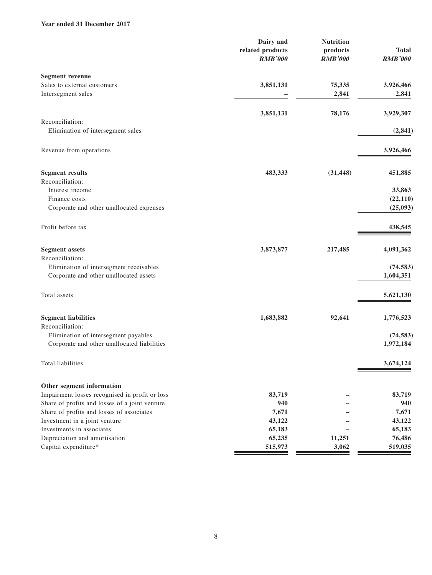### **Year ended 31 December 2017**

|                                                | Dairy and<br>related products<br><b>RMB'000</b> | <b>Nutrition</b><br>products<br><b>RMB'000</b> | <b>Total</b><br><b>RMB'000</b> |
|------------------------------------------------|-------------------------------------------------|------------------------------------------------|--------------------------------|
| <b>Segment revenue</b>                         |                                                 |                                                |                                |
| Sales to external customers                    | 3,851,131                                       | 75,335                                         | 3,926,466                      |
| Intersegment sales                             |                                                 | 2,841                                          | 2,841                          |
|                                                | 3,851,131                                       | 78,176                                         | 3,929,307                      |
| Reconciliation:                                |                                                 |                                                |                                |
| Elimination of intersegment sales              |                                                 |                                                | (2, 841)                       |
| Revenue from operations                        |                                                 |                                                | 3,926,466                      |
| <b>Segment results</b>                         | 483,333                                         | (31, 448)                                      | 451,885                        |
| Reconciliation:                                |                                                 |                                                |                                |
| Interest income                                |                                                 |                                                | 33,863                         |
| Finance costs                                  |                                                 |                                                | (22, 110)                      |
| Corporate and other unallocated expenses       |                                                 |                                                | (25, 093)                      |
| Profit before tax                              |                                                 |                                                | 438,545                        |
| <b>Segment assets</b>                          | 3,873,877                                       | 217,485                                        | 4,091,362                      |
| Reconciliation:                                |                                                 |                                                |                                |
| Elimination of intersegment receivables        |                                                 |                                                | (74, 583)                      |
| Corporate and other unallocated assets         |                                                 |                                                | 1,604,351                      |
| Total assets                                   |                                                 |                                                | 5,621,130                      |
| <b>Segment liabilities</b>                     | 1,683,882                                       | 92,641                                         | 1,776,523                      |
| Reconciliation:                                |                                                 |                                                |                                |
| Elimination of intersegment payables           |                                                 |                                                | (74, 583)                      |
| Corporate and other unallocated liabilities    |                                                 |                                                | 1,972,184                      |
| Total liabilities                              |                                                 |                                                | 3,674,124                      |
| Other segment information                      |                                                 |                                                |                                |
| Impairment losses recognised in profit or loss | 83,719                                          |                                                | 83,719                         |
| Share of profits and losses of a joint venture | 940                                             |                                                | 940                            |
| Share of profits and losses of associates      | 7,671                                           |                                                | 7,671                          |
| Investment in a joint venture                  | 43,122                                          |                                                | 43,122                         |
| Investments in associates                      | 65,183                                          |                                                | 65,183                         |
| Depreciation and amortisation                  | 65,235                                          | 11,251                                         | 76,486                         |
| Capital expenditure*                           | 515,973                                         | 3,062                                          | 519,035                        |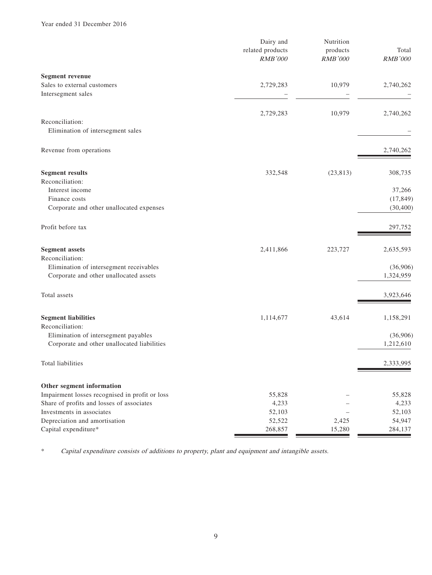|                                                                                     | Dairy and<br>related products<br><b>RMB'000</b> | Nutrition<br>products<br><b>RMB'000</b> | Total<br>RMB'000      |
|-------------------------------------------------------------------------------------|-------------------------------------------------|-----------------------------------------|-----------------------|
| <b>Segment revenue</b>                                                              |                                                 |                                         |                       |
| Sales to external customers                                                         | 2,729,283                                       | 10,979                                  | 2,740,262             |
| Intersegment sales                                                                  |                                                 |                                         |                       |
|                                                                                     | 2,729,283                                       | 10,979                                  | 2,740,262             |
| Reconciliation:                                                                     |                                                 |                                         |                       |
| Elimination of intersegment sales                                                   |                                                 |                                         |                       |
| Revenue from operations                                                             |                                                 |                                         | 2,740,262             |
| <b>Segment results</b>                                                              | 332,548                                         | (23, 813)                               | 308,735               |
| Reconciliation:                                                                     |                                                 |                                         |                       |
| Interest income                                                                     |                                                 |                                         | 37,266                |
| Finance costs                                                                       |                                                 |                                         | (17, 849)             |
| Corporate and other unallocated expenses                                            |                                                 |                                         | (30, 400)             |
| Profit before tax                                                                   |                                                 |                                         | 297,752               |
| <b>Segment assets</b>                                                               | 2,411,866                                       | 223,727                                 | 2,635,593             |
| Reconciliation:                                                                     |                                                 |                                         |                       |
| Elimination of intersegment receivables                                             |                                                 |                                         | (36,906)              |
| Corporate and other unallocated assets                                              |                                                 |                                         | 1,324,959             |
| Total assets                                                                        |                                                 |                                         | 3,923,646             |
| <b>Segment liabilities</b>                                                          | 1,114,677                                       | 43,614                                  | 1,158,291             |
| Reconciliation:                                                                     |                                                 |                                         |                       |
| Elimination of intersegment payables<br>Corporate and other unallocated liabilities |                                                 |                                         | (36,906)<br>1,212,610 |
|                                                                                     |                                                 |                                         |                       |
| Total liabilities                                                                   |                                                 |                                         | 2,333,995             |
| Other segment information                                                           |                                                 |                                         |                       |
| Impairment losses recognised in profit or loss                                      | 55,828                                          |                                         | 55,828                |
| Share of profits and losses of associates                                           | 4,233                                           |                                         | 4,233                 |
| Investments in associates                                                           | 52,103                                          |                                         | 52,103                |
| Depreciation and amortisation                                                       | 52,522                                          | 2,425                                   | 54,947                |
| Capital expenditure*                                                                | 268,857                                         | 15,280                                  | 284,137               |

\* Capital expenditure consists of additions to property, plant and equipment and intangible assets.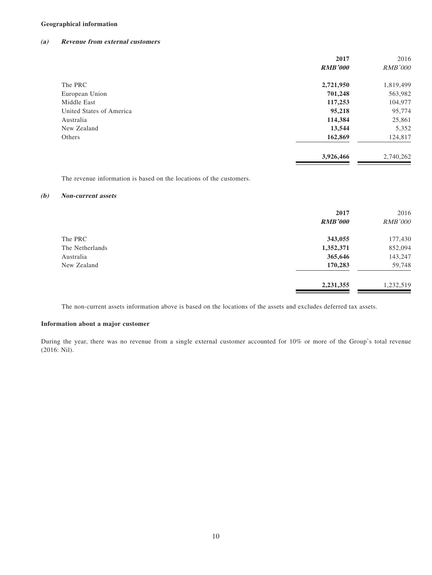#### **Geographical information**

#### **(a) Revenue from external customers**

|                          | 2017           | 2016           |
|--------------------------|----------------|----------------|
|                          | <b>RMB'000</b> | <i>RMB'000</i> |
| The PRC                  | 2,721,950      | 1,819,499      |
| European Union           | 701,248        | 563,982        |
| Middle East              | 117,253        | 104,977        |
| United States of America | 95,218         | 95,774         |
| Australia                | 114,384        | 25,861         |
| New Zealand              | 13,544         | 5,352          |
| Others                   | 162,869        | 124,817        |
|                          | 3,926,466      | 2,740,262      |
|                          |                |                |

The revenue information is based on the locations of the customers.

#### **(b) Non-current assets**

|                 | 2017<br><b>RMB'000</b> | 2016<br><b>RMB'000</b> |
|-----------------|------------------------|------------------------|
| The PRC         | 343,055                | 177,430                |
| The Netherlands | 1,352,371              | 852,094                |
| Australia       | 365,646                | 143,247                |
| New Zealand     | 170,283                | 59,748                 |
|                 | 2,231,355              | 1,232,519              |

The non-current assets information above is based on the locations of the assets and excludes deferred tax assets.

#### **Information about a major customer**

During the year, there was no revenue from a single external customer accounted for 10% or more of the Group's total revenue (2016: Nil).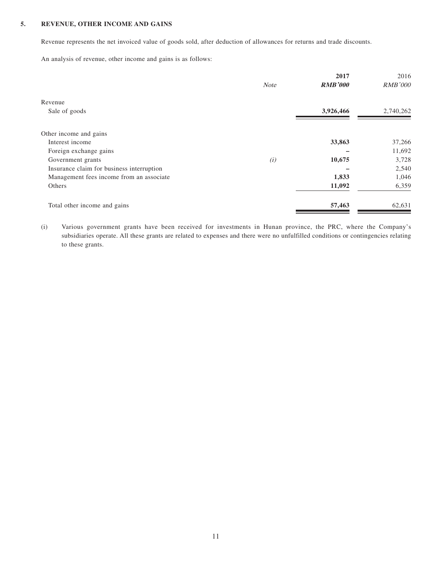### **5. REVENUE, OTHER INCOME AND GAINS**

Revenue represents the net invoiced value of goods sold, after deduction of allowances for returns and trade discounts.

An analysis of revenue, other income and gains is as follows:

|             | 2017           | 2016           |
|-------------|----------------|----------------|
| <b>Note</b> | <b>RMB'000</b> | <b>RMB'000</b> |
|             |                |                |
|             | 3,926,466      | 2,740,262      |
|             |                |                |
|             |                |                |
|             | 33,863         | 37,266         |
|             |                | 11,692         |
| (i)         | 10,675         | 3,728          |
|             |                | 2,540          |
|             | 1,833          | 1,046          |
|             | 11,092         | 6,359          |
|             | 57,463         | 62,631         |
|             |                |                |

(i) Various government grants have been received for investments in Hunan province, the PRC, where the Company's subsidiaries operate. All these grants are related to expenses and there were no unfulfilled conditions or contingencies relating to these grants.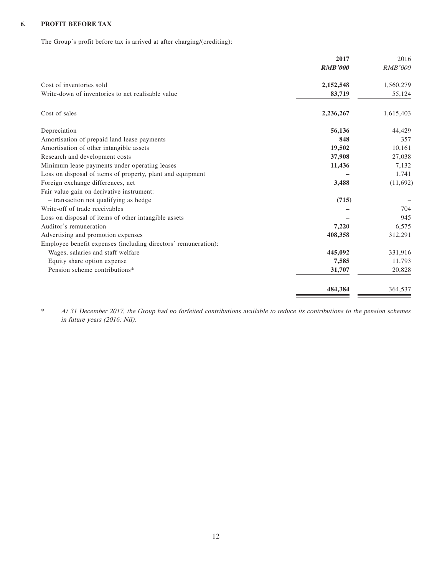### **6. PROFIT BEFORE TAX**

The Group's profit before tax is arrived at after charging/(crediting):

|                                                                | 2017           | 2016           |
|----------------------------------------------------------------|----------------|----------------|
|                                                                | <b>RMB'000</b> | <b>RMB'000</b> |
| Cost of inventories sold                                       | 2,152,548      | 1,560,279      |
| Write-down of inventories to net realisable value              | 83,719         | 55,124         |
| Cost of sales                                                  | 2,236,267      | 1,615,403      |
| Depreciation                                                   | 56,136         | 44,429         |
| Amortisation of prepaid land lease payments                    | 848            | 357            |
| Amortisation of other intangible assets                        | 19,502         | 10,161         |
| Research and development costs                                 | 37,908         | 27,038         |
| Minimum lease payments under operating leases                  | 11,436         | 7,132          |
| Loss on disposal of items of property, plant and equipment     |                | 1,741          |
| Foreign exchange differences, net                              | 3,488          | (11,692)       |
| Fair value gain on derivative instrument:                      |                |                |
| - transaction not qualifying as hedge                          | (715)          |                |
| Write-off of trade receivables                                 |                | 704            |
| Loss on disposal of items of other intangible assets           |                | 945            |
| Auditor's remuneration                                         | 7,220          | 6,575          |
| Advertising and promotion expenses                             | 408,358        | 312,291        |
| Employee benefit expenses (including directors' remuneration): |                |                |
| Wages, salaries and staff welfare                              | 445,092        | 331,916        |
| Equity share option expense                                    | 7,585          | 11,793         |
| Pension scheme contributions*                                  | 31,707         | 20,828         |
|                                                                | 484,384        | 364,537        |

\* At 31 December 2017, the Group had no forfeited contributions available to reduce its contributions to the pension schemes in future years (2016: Nil).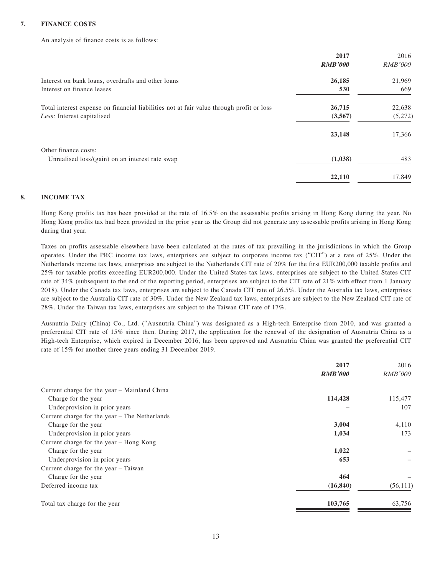#### **7. FINANCE COSTS**

An analysis of finance costs is as follows:

|                                                                                          | 2017           | 2016           |
|------------------------------------------------------------------------------------------|----------------|----------------|
|                                                                                          | <b>RMB'000</b> | <i>RMB'000</i> |
| Interest on bank loans, overdrafts and other loans                                       | 26,185         | 21,969         |
| Interest on finance leases                                                               | 530            | 669            |
| Total interest expense on financial liabilities not at fair value through profit or loss | 26,715         | 22,638         |
| Less: Interest capitalised                                                               | (3,567)        | (5,272)        |
|                                                                                          | 23,148         | 17,366         |
| Other finance costs:                                                                     |                |                |
| Unrealised loss/(gain) on an interest rate swap                                          | (1,038)        | 483            |
|                                                                                          | 22,110         | 17,849         |

#### **8. INCOME TAX**

Hong Kong profits tax has been provided at the rate of 16.5% on the assessable profits arising in Hong Kong during the year. No Hong Kong profits tax had been provided in the prior year as the Group did not generate any assessable profits arising in Hong Kong during that year.

Taxes on profits assessable elsewhere have been calculated at the rates of tax prevailing in the jurisdictions in which the Group operates. Under the PRC income tax laws, enterprises are subject to corporate income tax ("CIT") at a rate of 25%. Under the Netherlands income tax laws, enterprises are subject to the Netherlands CIT rate of 20% for the first EUR200,000 taxable profits and 25% for taxable profits exceeding EUR200,000. Under the United States tax laws, enterprises are subject to the United States CIT rate of 34% (subsequent to the end of the reporting period, enterprises are subject to the CIT rate of 21% with effect from 1 January 2018). Under the Canada tax laws, enterprises are subject to the Canada CIT rate of 26.5%. Under the Australia tax laws, enterprises are subject to the Australia CIT rate of 30%. Under the New Zealand tax laws, enterprises are subject to the New Zealand CIT rate of 28%. Under the Taiwan tax laws, enterprises are subject to the Taiwan CIT rate of 17%.

Ausnutria Dairy (China) Co., Ltd. ("Ausnutria China") was designated as a High-tech Enterprise from 2010, and was granted a preferential CIT rate of 15% since then. During 2017, the application for the renewal of the designation of Ausnutria China as a High-tech Enterprise, which expired in December 2016, has been approved and Ausnutria China was granted the preferential CIT rate of 15% for another three years ending 31 December 2019.

|                                               | 2017           | 2016           |
|-----------------------------------------------|----------------|----------------|
|                                               | <b>RMB'000</b> | <i>RMB'000</i> |
| Current charge for the year - Mainland China  |                |                |
| Charge for the year                           | 114,428        | 115,477        |
| Underprovision in prior years                 |                | 107            |
| Current charge for the year – The Netherlands |                |                |
| Charge for the year                           | 3,004          | 4,110          |
| Underprovision in prior years                 | 1,034          | 173            |
| Current charge for the year - Hong Kong       |                |                |
| Charge for the year                           | 1,022          |                |
| Underprovision in prior years                 | 653            |                |
| Current charge for the year - Taiwan          |                |                |
| Charge for the year                           | 464            |                |
| Deferred income tax                           | (16, 840)      | (56, 111)      |
| Total tax charge for the year                 | 103,765        | 63,756         |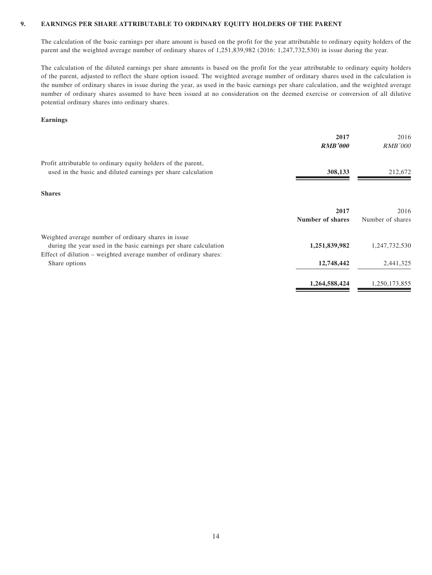#### **9. EARNINGS PER SHARE ATTRIBUTABLE TO ORDINARY EQUITY HOLDERS OF THE PARENT**

The calculation of the basic earnings per share amount is based on the profit for the year attributable to ordinary equity holders of the parent and the weighted average number of ordinary shares of 1,251,839,982 (2016: 1,247,732,530) in issue during the year.

The calculation of the diluted earnings per share amounts is based on the profit for the year attributable to ordinary equity holders of the parent, adjusted to reflect the share option issued. The weighted average number of ordinary shares used in the calculation is the number of ordinary shares in issue during the year, as used in the basic earnings per share calculation, and the weighted average number of ordinary shares assumed to have been issued at no consideration on the deemed exercise or conversion of all dilutive potential ordinary shares into ordinary shares.

#### **Earnings**

|                                                                                                                                                                                             | 2017<br><b>RMB'000</b>   | 2016<br><b>RMB'000</b>   |
|---------------------------------------------------------------------------------------------------------------------------------------------------------------------------------------------|--------------------------|--------------------------|
| Profit attributable to ordinary equity holders of the parent,<br>used in the basic and diluted earnings per share calculation                                                               | 308,133                  | 212,672                  |
| <b>Shares</b>                                                                                                                                                                               |                          |                          |
|                                                                                                                                                                                             | 2017<br>Number of shares | 2016<br>Number of shares |
| Weighted average number of ordinary shares in issue<br>during the year used in the basic earnings per share calculation<br>Effect of dilution – weighted average number of ordinary shares: | 1,251,839,982            | 1,247,732,530            |
| Share options                                                                                                                                                                               | 12,748,442               | 2,441,325                |
|                                                                                                                                                                                             | 1,264,588,424            | 1,250,173,855            |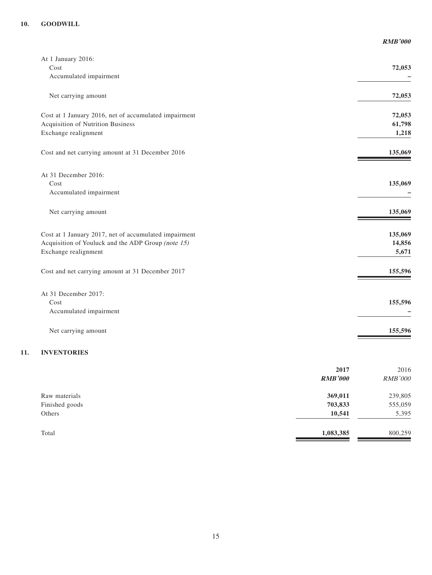|                                                       | <b>RMB'000</b> |
|-------------------------------------------------------|----------------|
| At 1 January 2016:                                    |                |
| Cost                                                  | 72,053         |
| Accumulated impairment                                |                |
| Net carrying amount                                   | 72,053         |
| Cost at 1 January 2016, net of accumulated impairment | 72,053         |
| <b>Acquisition of Nutrition Business</b>              | 61,798         |
| Exchange realignment                                  | 1,218          |
| Cost and net carrying amount at 31 December 2016      | 135,069        |
| At 31 December 2016:                                  |                |
| Cost                                                  | 135,069        |
| Accumulated impairment                                |                |
| Net carrying amount                                   | 135,069        |
| Cost at 1 January 2017, net of accumulated impairment | 135,069        |
| Acquisition of Youluck and the ADP Group (note 15)    | 14,856         |
| Exchange realignment                                  | 5,671          |
| Cost and net carrying amount at 31 December 2017      | 155,596        |
| At 31 December 2017:                                  |                |
| Cost                                                  | 155,596        |
| Accumulated impairment                                |                |
| Net carrying amount                                   | 155,596        |

# **11. INVENTORIES**

|                | 2017<br><b>RMB'000</b> | 2016<br><b>RMB'000</b> |
|----------------|------------------------|------------------------|
| Raw materials  | 369,011                | 239,805                |
| Finished goods | 703,833                | 555,059                |
| Others         | 10,541                 | 5,395                  |
| Total          | 1,083,385              | 800,259                |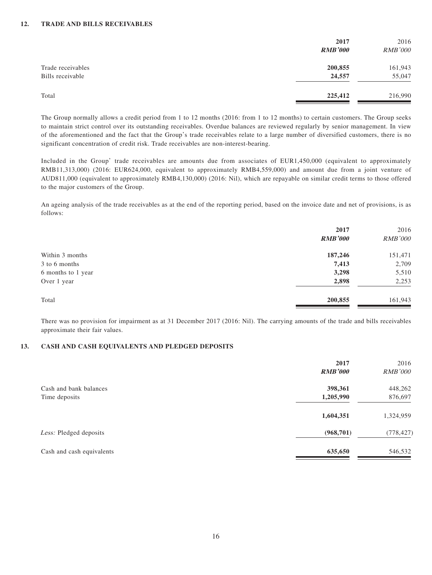|                                       | 2017<br><b>RMB'000</b> | 2016<br><b>RMB'000</b> |
|---------------------------------------|------------------------|------------------------|
| Trade receivables<br>Bills receivable | 200,855<br>24,557      | 161,943<br>55,047      |
| Total                                 | 225,412                | 216,990                |

The Group normally allows a credit period from 1 to 12 months (2016: from 1 to 12 months) to certain customers. The Group seeks to maintain strict control over its outstanding receivables. Overdue balances are reviewed regularly by senior management. In view of the aforementioned and the fact that the Group's trade receivables relate to a large number of diversified customers, there is no significant concentration of credit risk. Trade receivables are non-interest-bearing.

Included in the Group' trade receivables are amounts due from associates of EUR1,450,000 (equivalent to approximately RMB11,313,000) (2016: EUR624,000, equivalent to approximately RMB4,559,000) and amount due from a joint venture of AUD811,000 (equivalent to approximately RMB4,130,000) (2016: Nil), which are repayable on similar credit terms to those offered to the major customers of the Group.

An ageing analysis of the trade receivables as at the end of the reporting period, based on the invoice date and net of provisions, is as follows:

|                    | 2017           | 2016           |
|--------------------|----------------|----------------|
|                    | <b>RMB'000</b> | <b>RMB'000</b> |
| Within 3 months    | 187,246        | 151,471        |
| 3 to 6 months      | 7,413          | 2,709          |
| 6 months to 1 year | 3,298          | 5,510          |
| Over 1 year        | 2,898          | 2,253          |
| Total              | 200,855        | 161,943        |

There was no provision for impairment as at 31 December 2017 (2016: Nil). The carrying amounts of the trade and bills receivables approximate their fair values.

#### **13. CASH AND CASH EQUIVALENTS AND PLEDGED DEPOSITS**

|                           | 2017<br><b>RMB'000</b> | 2016<br><b>RMB'000</b> |
|---------------------------|------------------------|------------------------|
| Cash and bank balances    | 398,361                | 448,262                |
| Time deposits             | 1,205,990              | 876,697                |
|                           | 1,604,351              | 1,324,959              |
| Less: Pledged deposits    | (968, 701)             | (778, 427)             |
| Cash and cash equivalents | 635,650                | 546,532                |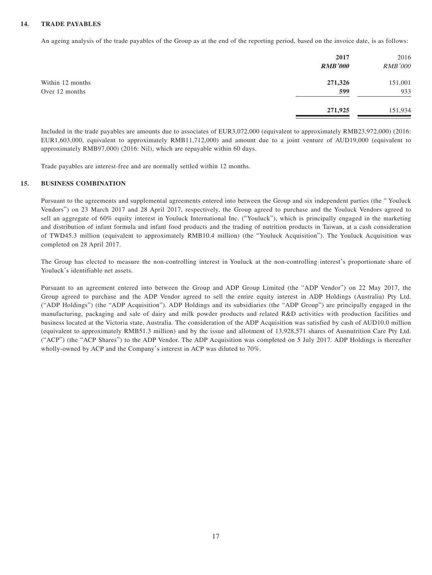#### **14. TRADE PAYABLES**

An ageing analysis of the trade payables of the Group as at the end of the reporting period, based on the invoice date, is as follows:

|                  | 2017<br><b>RMB'000</b> | 2016<br><b>RMB'000</b> |
|------------------|------------------------|------------------------|
| Within 12 months | 271,326                | 151,001                |
| Over 12 months   | 599                    | 933                    |
|                  | 271,925                | 151,934                |

Included in the trade payables are amounts due to associates of EUR3,072,000 (equivalent to approximately RMB23,972,000) (2016: EUR1,603,000, equivalent to approximately RMB11,712,000) and amount due to a joint venture of AUD19,000 (equivalent to approximately RMB97,000) (2016: Nil), which are repayable within 60 days.

Trade payables are interest-free and are normally settled within 12 months.

#### **15. BUSINESS COMBINATION**

Pursuant to the agreements and supplemental agreements entered into between the Group and six independent parties (the " Youluck Vendors") on 23 March 2017 and 28 April 2017, respectively, the Group agreed to purchase and the Youluck Vendors agreed to sell an aggregate of 60% equity interest in Youluck International Inc. ("Youluck"), which is principally engaged in the marketing and distribution of infant formula and infant food products and the trading of nutrition products in Taiwan, at a cash consideration of TWD45.3 million (equivalent to approximately RMB10.4 million) (the "Youluck Acquisition"). The Youluck Acquisition was completed on 28 April 2017.

The Group has elected to measure the non-controlling interest in Youluck at the non-controlling interest's proportionate share of Youluck's identifiable net assets.

Pursuant to an agreement entered into between the Group and ADP Group Limited (the "ADP Vendor") on 22 May 2017, the Group agreed to purchase and the ADP Vendor agreed to sell the entire equity interest in ADP Holdings (Australia) Pty Ltd. ("ADP Holdings") (the "ADP Acquisition"). ADP Holdings and its subsidiaries (the "ADP Group") are principally engaged in the manufacturing, packaging and sale of dairy and milk powder products and related R&D activities with production facilities and business located at the Victoria state, Australia. The consideration of the ADP Acquisition was satisfied by cash of AUD10.0 million (equivalent to approximately RMB51.3 million) and by the issue and allotment of 13,928,571 shares of Ausnutrition Care Pty Ltd. ("ACP") (the "ACP Shares") to the ADP Vendor. The ADP Acquisition was completed on 5 July 2017. ADP Holdings is thereafter wholly-owned by ACP and the Company's interest in ACP was diluted to 70%.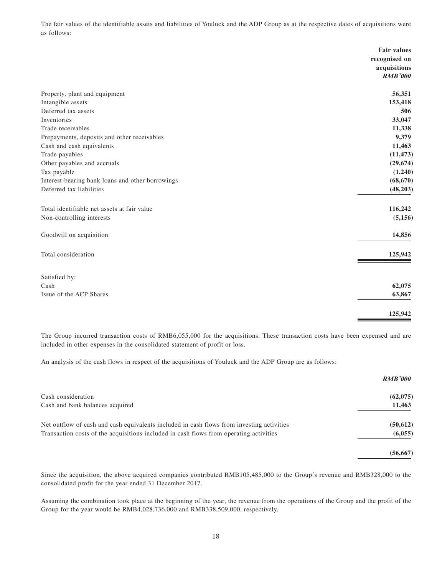The fair values of the identifiable assets and liabilities of Youluck and the ADP Group as at the respective dates of acquisitions were as follows:

|                                                  | <b>Fair values</b> |
|--------------------------------------------------|--------------------|
|                                                  | recognised on      |
|                                                  | acquisitions       |
|                                                  | <b>RMB'000</b>     |
| Property, plant and equipment                    | 56,351             |
| Intangible assets                                | 153,418            |
| Deferred tax assets                              | 506                |
| Inventories                                      | 33,047             |
| Trade receivables                                | 11,338             |
| Prepayments, deposits and other receivables      | 9,379              |
| Cash and cash equivalents                        | 11,463             |
| Trade payables                                   | (11, 473)          |
| Other payables and accruals                      | (29, 674)          |
| Tax payable                                      | (1,240)            |
| Interest-bearing bank loans and other borrowings | (68, 670)          |
| Deferred tax liabilities                         | (48,203)           |
| Total identifiable net assets at fair value      | 116,242            |
| Non-controlling interests                        | (5, 156)           |
| Goodwill on acquisition                          | 14,856             |
| Total consideration                              | 125,942            |
| Satisfied by:                                    |                    |
| Cash                                             | 62,075             |
| Issue of the ACP Shares                          | 63,867             |
|                                                  | 125,942            |
|                                                  |                    |

The Group incurred transaction costs of RMB6,055,000 for the acquisitions. These transaction costs have been expensed and are included in other expenses in the consolidated statement of profit or loss.

An analysis of the cash flows in respect of the acquisitions of Youluck and the ADP Group are as follows:

|                                                                                           | <b>RMB'000</b> |
|-------------------------------------------------------------------------------------------|----------------|
| Cash consideration                                                                        | (62,075)       |
| Cash and bank balances acquired                                                           | 11,463         |
| Net outflow of cash and cash equivalents included in cash flows from investing activities | (50, 612)      |
| Transaction costs of the acquisitions included in cash flows from operating activities    | (6,055)        |
|                                                                                           | (56, 667)      |

Since the acquisition, the above acquired companies contributed RMB105,485,000 to the Group's revenue and RMB328,000 to the consolidated profit for the year ended 31 December 2017.

Assuming the combination took place at the beginning of the year, the revenue from the operations of the Group and the profit of the Group for the year would be RMB4,028,736,000 and RMB338,509,000, respectively.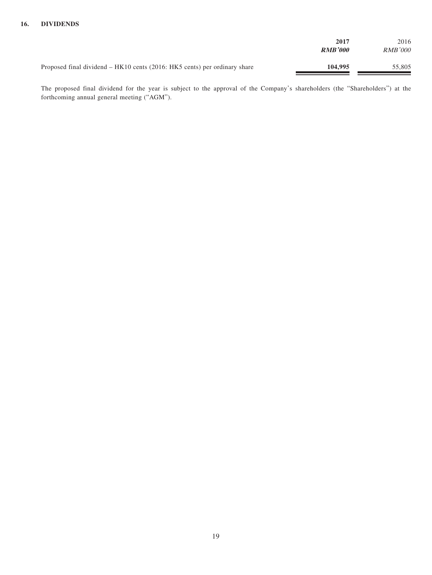|                                                                             | 2017<br><b>RMB'000</b> | 2016<br><i>RMB'000</i> |
|-----------------------------------------------------------------------------|------------------------|------------------------|
| Proposed final dividend $-$ HK10 cents (2016: HK5 cents) per ordinary share | 104.995                | 55,805                 |

The proposed final dividend for the year is subject to the approval of the Company's shareholders (the "Shareholders") at the forthcoming annual general meeting ("AGM").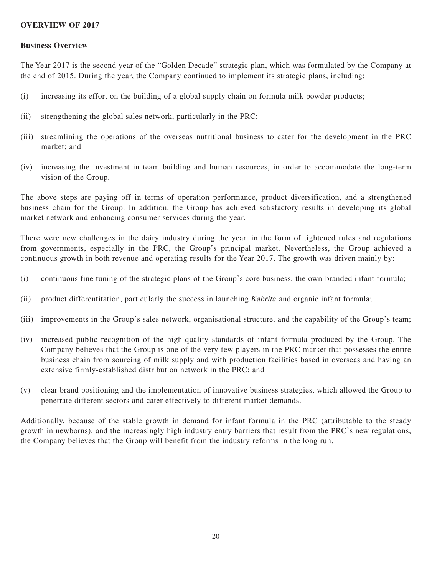# **OVERVIEW OF 2017**

### **Business Overview**

The Year 2017 is the second year of the "Golden Decade" strategic plan, which was formulated by the Company at the end of 2015. During the year, the Company continued to implement its strategic plans, including:

- (i) increasing its effort on the building of a global supply chain on formula milk powder products;
- (ii) strengthening the global sales network, particularly in the PRC;
- (iii) streamlining the operations of the overseas nutritional business to cater for the development in the PRC market; and
- (iv) increasing the investment in team building and human resources, in order to accommodate the long-term vision of the Group.

The above steps are paying off in terms of operation performance, product diversification, and a strengthened business chain for the Group. In addition, the Group has achieved satisfactory results in developing its global market network and enhancing consumer services during the year.

There were new challenges in the dairy industry during the year, in the form of tightened rules and regulations from governments, especially in the PRC, the Group's principal market. Nevertheless, the Group achieved a continuous growth in both revenue and operating results for the Year 2017. The growth was driven mainly by:

- (i) continuous fine tuning of the strategic plans of the Group's core business, the own-branded infant formula;
- (ii) product differentitation, particularly the success in launching *Kabrita* and organic infant formula;
- (iii) improvements in the Group's sales network, organisational structure, and the capability of the Group's team;
- (iv) increased public recognition of the high-quality standards of infant formula produced by the Group. The Company believes that the Group is one of the very few players in the PRC market that possesses the entire business chain from sourcing of milk supply and with production facilities based in overseas and having an extensive firmly-established distribution network in the PRC; and
- (v) clear brand positioning and the implementation of innovative business strategies, which allowed the Group to penetrate different sectors and cater effectively to different market demands.

Additionally, because of the stable growth in demand for infant formula in the PRC (attributable to the steady growth in newborns), and the increasingly high industry entry barriers that result from the PRC's new regulations, the Company believes that the Group will benefit from the industry reforms in the long run.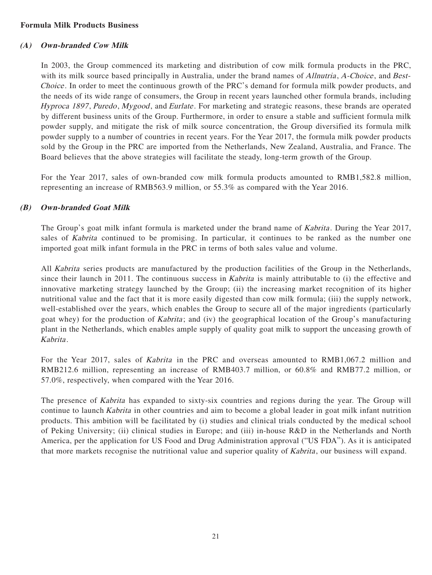# **Formula Milk Products Business**

# **(A) Own-branded Cow Milk**

In 2003, the Group commenced its marketing and distribution of cow milk formula products in the PRC, with its milk source based principally in Australia, under the brand names of *Allnutria*, *A-Choice*, and *Best-*Choice . In order to meet the continuous growth of the PRC's demand for formula milk powder products, and the needs of its wide range of consumers, the Group in recent years launched other formula brands, including Hyproca 1897, Puredo, Mygood, and Eurlate. For marketing and strategic reasons, these brands are operated by different business units of the Group. Furthermore, in order to ensure a stable and sufficient formula milk powder supply, and mitigate the risk of milk source concentration, the Group diversified its formula milk powder supply to a number of countries in recent years. For the Year 2017, the formula milk powder products sold by the Group in the PRC are imported from the Netherlands, New Zealand, Australia, and France. The Board believes that the above strategies will facilitate the steady, long-term growth of the Group.

For the Year 2017, sales of own-branded cow milk formula products amounted to RMB1,582.8 million, representing an increase of RMB563.9 million, or 55.3% as compared with the Year 2016.

# **(B) Own-branded Goat Milk**

The Group's goat milk infant formula is marketed under the brand name of *Kabrita*. During the Year 2017, sales of Kabrita continued to be promising. In particular, it continues to be ranked as the number one imported goat milk infant formula in the PRC in terms of both sales value and volume.

All Kabrita series products are manufactured by the production facilities of the Group in the Netherlands, since their launch in 2011. The continuous success in *Kabrita* is mainly attributable to (i) the effective and innovative marketing strategy launched by the Group; (ii) the increasing market recognition of its higher nutritional value and the fact that it is more easily digested than cow milk formula; (iii) the supply network, well-established over the years, which enables the Group to secure all of the major ingredients (particularly goat whey) for the production of *Kabrita*; and (iv) the geographical location of the Group's manufacturing plant in the Netherlands, which enables ample supply of quality goat milk to support the unceasing growth of Kabrita .

For the Year 2017, sales of *Kabrita* in the PRC and overseas amounted to RMB1,067.2 million and RMB212.6 million, representing an increase of RMB403.7 million, or 60.8% and RMB77.2 million, or 57.0%, respectively, when compared with the Year 2016.

The presence of Kabrita has expanded to sixty-six countries and regions during the year. The Group will continue to launch Kabrita in other countries and aim to become a global leader in goat milk infant nutrition products. This ambition will be facilitated by (i) studies and clinical trials conducted by the medical school of Peking University; (ii) clinical studies in Europe; and (iii) in-house R&D in the Netherlands and North America, per the application for US Food and Drug Administration approval ("US FDA"). As it is anticipated that more markets recognise the nutritional value and superior quality of *Kabrita*, our business will expand.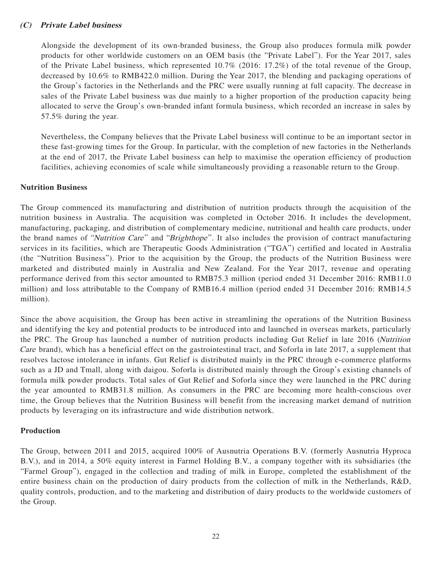# **(C) Private Label business**

Alongside the development of its own-branded business, the Group also produces formula milk powder products for other worldwide customers on an OEM basis (the "Private Label"). For the Year 2017, sales of the Private Label business, which represented 10.7% (2016: 17.2%) of the total revenue of the Group, decreased by 10.6% to RMB422.0 million. During the Year 2017, the blending and packaging operations of the Group's factories in the Netherlands and the PRC were usually running at full capacity. The decrease in sales of the Private Label business was due mainly to a higher proportion of the production capacity being allocated to serve the Group's own-branded infant formula business, which recorded an increase in sales by 57.5% during the year.

Nevertheless, the Company believes that the Private Label business will continue to be an important sector in these fast-growing times for the Group. In particular, with the completion of new factories in the Netherlands at the end of 2017, the Private Label business can help to maximise the operation efficiency of production facilities, achieving economies of scale while simultaneously providing a reasonable return to the Group.

# **Nutrition Business**

The Group commenced its manufacturing and distribution of nutrition products through the acquisition of the nutrition business in Australia. The acquisition was completed in October 2016. It includes the development, manufacturing, packaging, and distribution of complementary medicine, nutritional and health care products, under the brand names of "Nutrition Care" and "Brighthope". It also includes the provision of contract manufacturing services in its facilities, which are Therapeutic Goods Administration ("TGA") certified and located in Australia (the "Nutrition Business"). Prior to the acquisition by the Group, the products of the Nutrition Business were marketed and distributed mainly in Australia and New Zealand. For the Year 2017, revenue and operating performance derived from this sector amounted to RMB75.3 million (period ended 31 December 2016: RMB11.0 million) and loss attributable to the Company of RMB16.4 million (period ended 31 December 2016: RMB14.5 million).

Since the above acquisition, the Group has been active in streamlining the operations of the Nutrition Business and identifying the key and potential products to be introduced into and launched in overseas markets, particularly the PRC. The Group has launched a number of nutrition products including Gut Relief in late 2016 (Nutrition Care brand), which has a beneficial effect on the gastrointestinal tract, and Soforla in late 2017, a supplement that resolves lactose intolerance in infants. Gut Relief is distributed mainly in the PRC through e-commerce platforms such as a JD and Tmall, along with daigou. Soforla is distributed mainly through the Group's existing channels of formula milk powder products. Total sales of Gut Relief and Soforla since they were launched in the PRC during the year amounted to RMB31.8 million. As consumers in the PRC are becoming more health-conscious over time, the Group believes that the Nutrition Business will benefit from the increasing market demand of nutrition products by leveraging on its infrastructure and wide distribution network.

# **Production**

The Group, between 2011 and 2015, acquired 100% of Ausnutria Operations B.V. (formerly Ausnutria Hyproca B.V.), and in 2014, a 50% equity interest in Farmel Holding B.V., a company together with its subsidiaries (the "Farmel Group"), engaged in the collection and trading of milk in Europe, completed the establishment of the entire business chain on the production of dairy products from the collection of milk in the Netherlands, R&D, quality controls, production, and to the marketing and distribution of dairy products to the worldwide customers of the Group.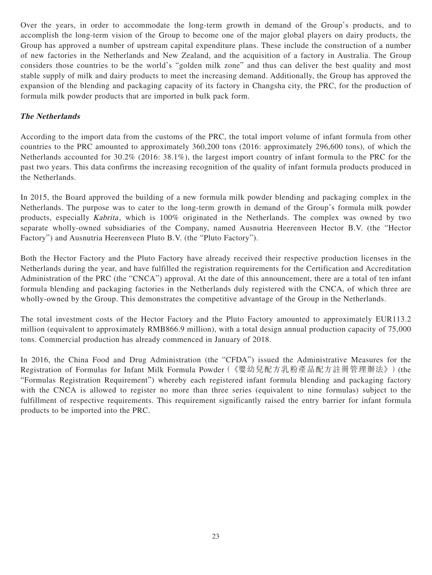Over the years, in order to accommodate the long-term growth in demand of the Group's products, and to accomplish the long-term vision of the Group to become one of the major global players on dairy products, the Group has approved a number of upstream capital expenditure plans. These include the construction of a number of new factories in the Netherlands and New Zealand, and the acquisition of a factory in Australia. The Group considers those countries to be the world's "golden milk zone" and thus can deliver the best quality and most stable supply of milk and dairy products to meet the increasing demand. Additionally, the Group has approved the expansion of the blending and packaging capacity of its factory in Changsha city, the PRC, for the production of formula milk powder products that are imported in bulk pack form.

# **The Netherlands**

According to the import data from the customs of the PRC, the total import volume of infant formula from other countries to the PRC amounted to approximately 360,200 tons (2016: approximately 296,600 tons), of which the Netherlands accounted for 30.2% (2016: 38.1%), the largest import country of infant formula to the PRC for the past two years. This data confirms the increasing recognition of the quality of infant formula products produced in the Netherlands.

In 2015, the Board approved the building of a new formula milk powder blending and packaging complex in the Netherlands. The purpose was to cater to the long-term growth in demand of the Group's formula milk powder products, especially Kabrita, which is 100% originated in the Netherlands. The complex was owned by two separate wholly-owned subsidiaries of the Company, named Ausnutria Heerenveen Hector B.V. (the "Hector Factory") and Ausnutria Heerenveen Pluto B.V. (the "Pluto Factory").

Both the Hector Factory and the Pluto Factory have already received their respective production licenses in the Netherlands during the year, and have fulfilled the registration requirements for the Certification and Accreditation Administration of the PRC (the "CNCA") approval. At the date of this announcement, there are a total of ten infant formula blending and packaging factories in the Netherlands duly registered with the CNCA, of which three are wholly-owned by the Group. This demonstrates the competitive advantage of the Group in the Netherlands.

The total investment costs of the Hector Factory and the Pluto Factory amounted to approximately EUR113.2 million (equivalent to approximately RMB866.9 million), with a total design annual production capacity of 75,000 tons. Commercial production has already commenced in January of 2018.

In 2016, the China Food and Drug Administration (the "CFDA") issued the Administrative Measures for the Registration of Formulas for Infant Milk Formula Powder(《嬰幼兒配方乳粉產品配方註冊管理辦法》)(the "Formulas Registration Requirement") whereby each registered infant formula blending and packaging factory with the CNCA is allowed to register no more than three series (equivalent to nine formulas) subject to the fulfillment of respective requirements. This requirement significantly raised the entry barrier for infant formula products to be imported into the PRC.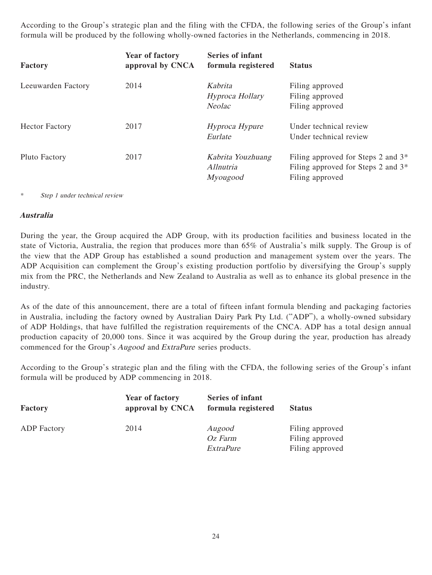According to the Group's strategic plan and the filing with the CFDA, the following series of the Group's infant formula will be produced by the following wholly-owned factories in the Netherlands, commencing in 2018.

| Factory               | <b>Year of factory</b><br>approval by CNCA | Series of infant<br>formula registered      | <b>Status</b>                                                                                                       |
|-----------------------|--------------------------------------------|---------------------------------------------|---------------------------------------------------------------------------------------------------------------------|
| Leeuwarden Factory    | 2014                                       | Kabrita<br>Hyproca Hollary<br><b>Neolac</b> | Filing approved<br>Filing approved<br>Filing approved                                                               |
| <b>Hector Factory</b> | 2017                                       | Hyproca Hypure<br>Eurlate                   | Under technical review<br>Under technical review                                                                    |
| Pluto Factory         | 2017                                       | Kabrita Youzhuang<br>Allnutria<br>Myougood  | Filing approved for Steps 2 and 3 <sup>*</sup><br>Filing approved for Steps 2 and 3 <sup>*</sup><br>Filing approved |

\* Step 1 under technical review

# **Australia**

During the year, the Group acquired the ADP Group, with its production facilities and business located in the state of Victoria, Australia, the region that produces more than 65% of Australia's milk supply. The Group is of the view that the ADP Group has established a sound production and management system over the years. The ADP Acquisition can complement the Group's existing production portfolio by diversifying the Group's supply mix from the PRC, the Netherlands and New Zealand to Australia as well as to enhance its global presence in the industry.

As of the date of this announcement, there are a total of fifteen infant formula blending and packaging factories in Australia, including the factory owned by Australian Dairy Park Pty Ltd. ("ADP"), a wholly-owned subsidary of ADP Holdings, that have fulfilled the registration requirements of the CNCA. ADP has a total design annual production capacity of 20,000 tons. Since it was acquired by the Group during the year, production has already commenced for the Group's Augood and ExtraPure series products.

According to the Group's strategic plan and the filing with the CFDA, the following series of the Group's infant formula will be produced by ADP commencing in 2018.

| Factory            | <b>Year of factory</b><br>approval by CNCA | <b>Series of infant</b><br>formula registered | <b>Status</b>   |
|--------------------|--------------------------------------------|-----------------------------------------------|-----------------|
| <b>ADP</b> Factory | 2014                                       | Augood                                        | Filing approved |
|                    |                                            | Oz Farm                                       | Filing approved |
|                    |                                            | ExtraPure                                     | Filing approved |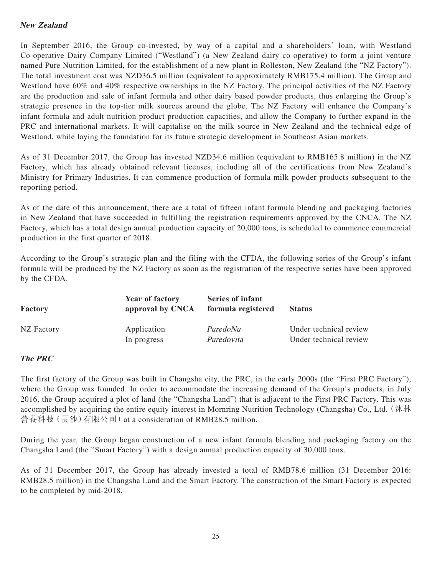# **New Zealand**

In September 2016, the Group co-invested, by way of a capital and a shareholders' loan, with Westland Co-operative Dairy Company Limited ("Westland") (a New Zealand dairy co-operative) to form a joint venture named Pure Nutrition Limited, for the establishment of a new plant in Rolleston, New Zealand (the "NZ Factory"). The total investment cost was NZD36.5 million (equivalent to approximately RMB175.4 million). The Group and Westland have 60% and 40% respective ownerships in the NZ Factory. The principal activities of the NZ Factory are the production and sale of infant formula and other dairy based powder products, thus enlarging the Group's strategic presence in the top-tier milk sources around the globe. The NZ Factory will enhance the Company's infant formula and adult nutrition product production capacities, and allow the Company to further expand in the PRC and international markets. It will capitalise on the milk source in New Zealand and the technical edge of Westland, while laying the foundation for its future strategic development in Southeast Asian markets.

As of 31 December 2017, the Group has invested NZD34.6 million (equivalent to RMB165.8 million) in the NZ Factory, which has already obtained relevant licenses, including all of the certifications from New Zealand's Ministry for Primary Industries. It can commence production of formula milk powder products subsequent to the reporting period.

As of the date of this announcement, there are a total of fifteen infant formula blending and packaging factories in New Zealand that have succeeded in fulfilling the registration requirements approved by the CNCA. The NZ Factory, which has a total design annual production capacity of 20,000 tons, is scheduled to commence commercial production in the first quarter of 2018.

According to the Group's strategic plan and the filing with the CFDA, the following series of the Group's infant formula will be produced by the NZ Factory as soon as the registration of the respective series have been approved by the CFDA.

| Factory    | <b>Year of factory</b><br>approval by CNCA | Series of infant<br>formula registered | <b>Status</b>          |
|------------|--------------------------------------------|----------------------------------------|------------------------|
| NZ Factory | Application                                | PuredoNu                               | Under technical review |
|            | In progress                                | Puredovita                             | Under technical review |

# **The PRC**

The first factory of the Group was built in Changsha city, the PRC, in the early 2000s (the "First PRC Factory"), where the Group was founded. In order to accommodate the increasing demand of the Group's products, in July 2016, the Group acquired a plot of land (the "Changsha Land") that is adjacent to the First PRC Factory. This was accomplished by acquiring the entire equity interest in Mornring Nutrition Technology (Changsha) Co., Ltd.(沐林 營養科技(長沙)有限公司)at a consideration of RMB28.5 million.

During the year, the Group began construction of a new infant formula blending and packaging factory on the Changsha Land (the "Smart Factory") with a design annual production capacity of 30,000 tons.

As of 31 December 2017, the Group has already invested a total of RMB78.6 million (31 December 2016: RMB28.5 million) in the Changsha Land and the Smart Factory. The construction of the Smart Factory is expected to be completed by mid-2018.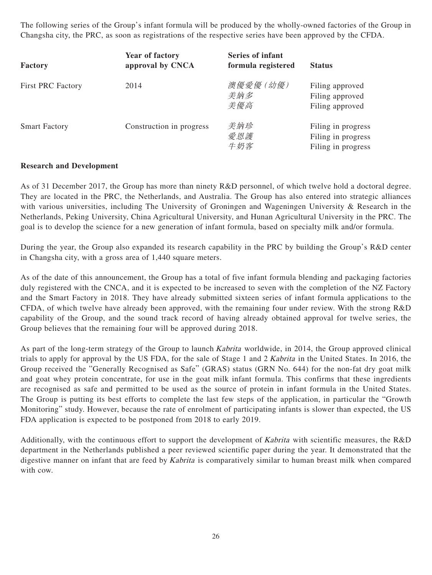The following series of the Group's infant formula will be produced by the wholly-owned factories of the Group in Changsha city, the PRC, as soon as registrations of the respective series have been approved by the CFDA.

| <b>Factory</b>           | <b>Year of factory</b><br>approval by CNCA | Series of infant<br>formula registered | <b>Status</b>                                                  |
|--------------------------|--------------------------------------------|----------------------------------------|----------------------------------------------------------------|
| <b>First PRC Factory</b> | 2014                                       | 澳優愛優 (幼優)<br>美納多<br>美優高                | Filing approved<br>Filing approved<br>Filing approved          |
| <b>Smart Factory</b>     | Construction in progress                   | 美納珍<br>愛恩護<br>牛奶客                      | Filing in progress<br>Filing in progress<br>Filing in progress |

# **Research and Development**

As of 31 December 2017, the Group has more than ninety R&D personnel, of which twelve hold a doctoral degree. They are located in the PRC, the Netherlands, and Australia. The Group has also entered into strategic alliances with various universities, including The University of Groningen and Wageningen University & Research in the Netherlands, Peking University, China Agricultural University, and Hunan Agricultural University in the PRC. The goal is to develop the science for a new generation of infant formula, based on specialty milk and/or formula.

During the year, the Group also expanded its research capability in the PRC by building the Group's R&D center in Changsha city, with a gross area of 1,440 square meters.

As of the date of this announcement, the Group has a total of five infant formula blending and packaging factories duly registered with the CNCA, and it is expected to be increased to seven with the completion of the NZ Factory and the Smart Factory in 2018. They have already submitted sixteen series of infant formula applications to the CFDA, of which twelve have already been approved, with the remaining four under review. With the strong R&D capability of the Group, and the sound track record of having already obtained approval for twelve series, the Group believes that the remaining four will be approved during 2018.

As part of the long-term strategy of the Group to launch *Kabrita* worldwide, in 2014, the Group approved clinical trials to apply for approval by the US FDA, for the sale of Stage 1 and 2 Kabrita in the United States. In 2016, the Group received the "Generally Recognised as Safe" (GRAS) status (GRN No. 644) for the non-fat dry goat milk and goat whey protein concentrate, for use in the goat milk infant formula. This confirms that these ingredients are recognised as safe and permitted to be used as the source of protein in infant formula in the United States. The Group is putting its best efforts to complete the last few steps of the application, in particular the "Growth Monitoring" study. However, because the rate of enrolment of participating infants is slower than expected, the US FDA application is expected to be postponed from 2018 to early 2019.

Additionally, with the continuous effort to support the development of Kabrita with scientific measures, the R&D department in the Netherlands published a peer reviewed scientific paper during the year. It demonstrated that the digestive manner on infant that are feed by Kabrita is comparatively similar to human breast milk when compared with cow.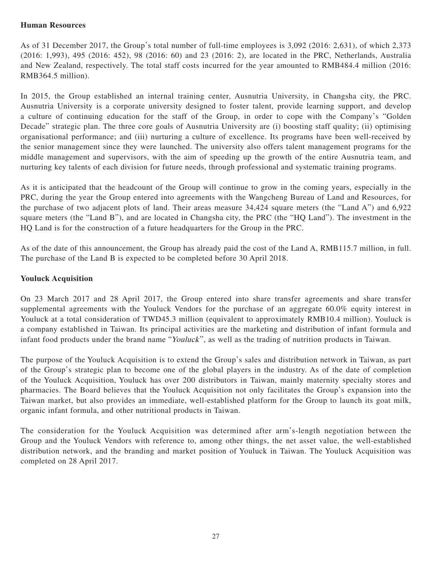# **Human Resources**

As of 31 December 2017, the Group's total number of full-time employees is 3,092 (2016: 2,631), of which 2,373 (2016: 1,993), 495 (2016: 452), 98 (2016: 60) and 23 (2016: 2), are located in the PRC, Netherlands, Australia and New Zealand, respectively. The total staff costs incurred for the year amounted to RMB484.4 million (2016: RMB364.5 million).

In 2015, the Group established an internal training center, Ausnutria University, in Changsha city, the PRC. Ausnutria University is a corporate university designed to foster talent, provide learning support, and develop a culture of continuing education for the staff of the Group, in order to cope with the Company's "Golden Decade" strategic plan. The three core goals of Ausnutria University are (i) boosting staff quality; (ii) optimising organisational performance; and (iii) nurturing a culture of excellence. Its programs have been well-received by the senior management since they were launched. The university also offers talent management programs for the middle management and supervisors, with the aim of speeding up the growth of the entire Ausnutria team, and nurturing key talents of each division for future needs, through professional and systematic training programs.

As it is anticipated that the headcount of the Group will continue to grow in the coming years, especially in the PRC, during the year the Group entered into agreements with the Wangcheng Bureau of Land and Resources, for the purchase of two adjacent plots of land. Their areas measure 34,424 square meters (the "Land A") and 6,922 square meters (the "Land B"), and are located in Changsha city, the PRC (the "HQ Land"). The investment in the HQ Land is for the construction of a future headquarters for the Group in the PRC.

As of the date of this announcement, the Group has already paid the cost of the Land A, RMB115.7 million, in full. The purchase of the Land B is expected to be completed before 30 April 2018.

# **Youluck Acquisition**

On 23 March 2017 and 28 April 2017, the Group entered into share transfer agreements and share transfer supplemental agreements with the Youluck Vendors for the purchase of an aggregate 60.0% equity interest in Youluck at a total consideration of TWD45.3 million (equivalent to approximately RMB10.4 million). Youluck is a company established in Taiwan. Its principal activities are the marketing and distribution of infant formula and infant food products under the brand name "Youluck", as well as the trading of nutrition products in Taiwan.

The purpose of the Youluck Acquisition is to extend the Group's sales and distribution network in Taiwan, as part of the Group's strategic plan to become one of the global players in the industry. As of the date of completion of the Youluck Acquisition, Youluck has over 200 distributors in Taiwan, mainly maternity specialty stores and pharmacies. The Board believes that the Youluck Acquisition not only facilitates the Group's expansion into the Taiwan market, but also provides an immediate, well-established platform for the Group to launch its goat milk, organic infant formula, and other nutritional products in Taiwan.

The consideration for the Youluck Acquisition was determined after arm's-length negotiation between the Group and the Youluck Vendors with reference to, among other things, the net asset value, the well-established distribution network, and the branding and market position of Youluck in Taiwan. The Youluck Acquisition was completed on 28 April 2017.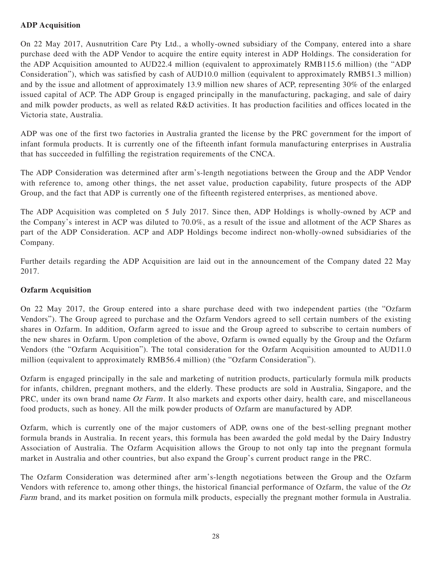# **ADP Acquisition**

On 22 May 2017, Ausnutrition Care Pty Ltd., a wholly-owned subsidiary of the Company, entered into a share purchase deed with the ADP Vendor to acquire the entire equity interest in ADP Holdings. The consideration for the ADP Acquisition amounted to AUD22.4 million (equivalent to approximately RMB115.6 million) (the "ADP Consideration"), which was satisfied by cash of AUD10.0 million (equivalent to approximately RMB51.3 million) and by the issue and allotment of approximately 13.9 million new shares of ACP, representing 30% of the enlarged issued capital of ACP. The ADP Group is engaged principally in the manufacturing, packaging, and sale of dairy and milk powder products, as well as related R&D activities. It has production facilities and offices located in the Victoria state, Australia.

ADP was one of the first two factories in Australia granted the license by the PRC government for the import of infant formula products. It is currently one of the fifteenth infant formula manufacturing enterprises in Australia that has succeeded in fulfilling the registration requirements of the CNCA.

The ADP Consideration was determined after arm's-length negotiations between the Group and the ADP Vendor with reference to, among other things, the net asset value, production capability, future prospects of the ADP Group, and the fact that ADP is currently one of the fifteenth registered enterprises, as mentioned above.

The ADP Acquisition was completed on 5 July 2017. Since then, ADP Holdings is wholly-owned by ACP and the Company's interest in ACP was diluted to 70.0%, as a result of the issue and allotment of the ACP Shares as part of the ADP Consideration. ACP and ADP Holdings become indirect non-wholly-owned subsidiaries of the Company.

Further details regarding the ADP Acquisition are laid out in the announcement of the Company dated 22 May 2017.

# **Ozfarm Acquisition**

On 22 May 2017, the Group entered into a share purchase deed with two independent parties (the "Ozfarm Vendors"). The Group agreed to purchase and the Ozfarm Vendors agreed to sell certain numbers of the existing shares in Ozfarm. In addition, Ozfarm agreed to issue and the Group agreed to subscribe to certain numbers of the new shares in Ozfarm. Upon completion of the above, Ozfarm is owned equally by the Group and the Ozfarm Vendors (the "Ozfarm Acquisition"). The total consideration for the Ozfarm Acquisition amounted to AUD11.0 million (equivalent to approximately RMB56.4 million) (the "Ozfarm Consideration").

Ozfarm is engaged principally in the sale and marketing of nutrition products, particularly formula milk products for infants, children, pregnant mothers, and the elderly. These products are sold in Australia, Singapore, and the PRC, under its own brand name Oz Farm. It also markets and exports other dairy, health care, and miscellaneous food products, such as honey. All the milk powder products of Ozfarm are manufactured by ADP.

Ozfarm, which is currently one of the major customers of ADP, owns one of the best-selling pregnant mother formula brands in Australia. In recent years, this formula has been awarded the gold medal by the Dairy Industry Association of Australia. The Ozfarm Acquisition allows the Group to not only tap into the pregnant formula market in Australia and other countries, but also expand the Group's current product range in the PRC.

The Ozfarm Consideration was determined after arm's-length negotiations between the Group and the Ozfarm Vendors with reference to, among other things, the historical financial performance of Ozfarm, the value of the Oz Farm brand, and its market position on formula milk products, especially the pregnant mother formula in Australia.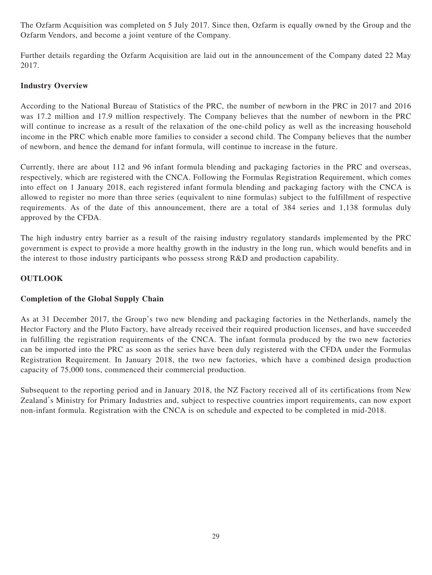The Ozfarm Acquisition was completed on 5 July 2017. Since then, Ozfarm is equally owned by the Group and the Ozfarm Vendors, and become a joint venture of the Company.

Further details regarding the Ozfarm Acquisition are laid out in the announcement of the Company dated 22 May 2017.

# **Industry Overview**

According to the National Bureau of Statistics of the PRC, the number of newborn in the PRC in 2017 and 2016 was 17.2 million and 17.9 million respectively. The Company believes that the number of newborn in the PRC will continue to increase as a result of the relaxation of the one-child policy as well as the increasing household income in the PRC which enable more families to consider a second child. The Company believes that the number of newborn, and hence the demand for infant formula, will continue to increase in the future.

Currently, there are about 112 and 96 infant formula blending and packaging factories in the PRC and overseas, respectively, which are registered with the CNCA. Following the Formulas Registration Requirement, which comes into effect on 1 January 2018, each registered infant formula blending and packaging factory with the CNCA is allowed to register no more than three series (equivalent to nine formulas) subject to the fulfillment of respective requirements. As of the date of this announcement, there are a total of 384 series and 1,138 formulas duly approved by the CFDA.

The high industry entry barrier as a result of the raising industry regulatory standards implemented by the PRC government is expect to provide a more healthy growth in the industry in the long run, which would benefits and in the interest to those industry participants who possess strong R&D and production capability.

# **OUTLOOK**

# **Completion of the Global Supply Chain**

As at 31 December 2017, the Group's two new blending and packaging factories in the Netherlands, namely the Hector Factory and the Pluto Factory, have already received their required production licenses, and have succeeded in fulfilling the registration requirements of the CNCA. The infant formula produced by the two new factories can be imported into the PRC as soon as the series have been duly registered with the CFDA under the Formulas Registration Requirement. In January 2018, the two new factories, which have a combined design production capacity of 75,000 tons, commenced their commercial production.

Subsequent to the reporting period and in January 2018, the NZ Factory received all of its certifications from New Zealand's Ministry for Primary Industries and, subject to respective countries import requirements, can now export non-infant formula. Registration with the CNCA is on schedule and expected to be completed in mid-2018.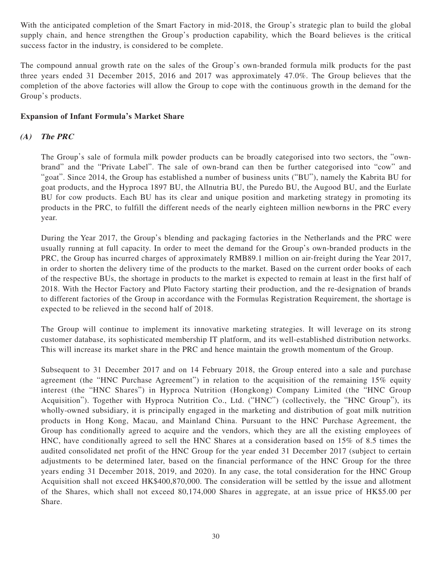With the anticipated completion of the Smart Factory in mid-2018, the Group's strategic plan to build the global supply chain, and hence strengthen the Group's production capability, which the Board believes is the critical success factor in the industry, is considered to be complete.

The compound annual growth rate on the sales of the Group's own-branded formula milk products for the past three years ended 31 December 2015, 2016 and 2017 was approximately 47.0%. The Group believes that the completion of the above factories will allow the Group to cope with the continuous growth in the demand for the Group's products.

# **Expansion of Infant Formula's Market Share**

# **(A) The PRC**

The Group's sale of formula milk powder products can be broadly categorised into two sectors, the "ownbrand" and the "Private Label". The sale of own-brand can then be further categorised into "cow" and "goat". Since 2014, the Group has established a number of business units ("BU"), namely the Kabrita BU for goat products, and the Hyproca 1897 BU, the Allnutria BU, the Puredo BU, the Augood BU, and the Eurlate BU for cow products. Each BU has its clear and unique position and marketing strategy in promoting its products in the PRC, to fulfill the different needs of the nearly eighteen million newborns in the PRC every year.

During the Year 2017, the Group's blending and packaging factories in the Netherlands and the PRC were usually running at full capacity. In order to meet the demand for the Group's own-branded products in the PRC, the Group has incurred charges of approximately RMB89.1 million on air-freight during the Year 2017, in order to shorten the delivery time of the products to the market. Based on the current order books of each of the respective BUs, the shortage in products to the market is expected to remain at least in the first half of 2018. With the Hector Factory and Pluto Factory starting their production, and the re-designation of brands to different factories of the Group in accordance with the Formulas Registration Requirement, the shortage is expected to be relieved in the second half of 2018.

The Group will continue to implement its innovative marketing strategies. It will leverage on its strong customer database, its sophisticated membership IT platform, and its well-established distribution networks. This will increase its market share in the PRC and hence maintain the growth momentum of the Group.

Subsequent to 31 December 2017 and on 14 February 2018, the Group entered into a sale and purchase agreement (the "HNC Purchase Agreement") in relation to the acquisition of the remaining 15% equity interest (the "HNC Shares") in Hyproca Nutrition (Hongkong) Company Limited (the "HNC Group Acquisition"). Together with Hyproca Nutrition Co., Ltd. ("HNC") (collectively, the "HNC Group"), its wholly-owned subsidiary, it is principally engaged in the marketing and distribution of goat milk nutrition products in Hong Kong, Macau, and Mainland China. Pursuant to the HNC Purchase Agreement, the Group has conditionally agreed to acquire and the vendors, which they are all the existing employees of HNC, have conditionally agreed to sell the HNC Shares at a consideration based on 15% of 8.5 times the audited consolidated net profit of the HNC Group for the year ended 31 December 2017 (subject to certain adjustments to be determined later, based on the financial performance of the HNC Group for the three years ending 31 December 2018, 2019, and 2020). In any case, the total consideration for the HNC Group Acquisition shall not exceed HK\$400,870,000. The consideration will be settled by the issue and allotment of the Shares, which shall not exceed 80,174,000 Shares in aggregate, at an issue price of HK\$5.00 per Share.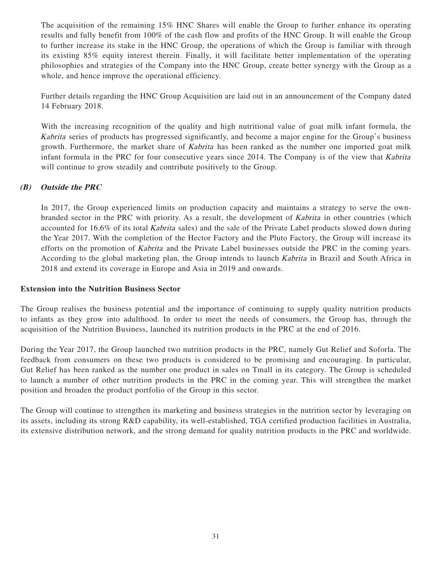The acquisition of the remaining 15% HNC Shares will enable the Group to further enhance its operating results and fully benefit from 100% of the cash flow and profits of the HNC Group. It will enable the Group to further increase its stake in the HNC Group, the operations of which the Group is familiar with through its existing 85% equity interest therein. Finally, it will facilitate better implementation of the operating philosophies and strategies of the Company into the HNC Group, create better synergy with the Group as a whole, and hence improve the operational efficiency.

Further details regarding the HNC Group Acquisition are laid out in an announcement of the Company dated 14 February 2018.

With the increasing recognition of the quality and high nutritional value of goat milk infant formula, the Kabrita series of products has progressed significantly, and become a major engine for the Group's business growth. Furthermore, the market share of *Kabrita* has been ranked as the number one imported goat milk infant formula in the PRC for four consecutive years since 2014. The Company is of the view that Kabrita will continue to grow steadily and contribute positively to the Group.

# **(B) Outside the PRC**

In 2017, the Group experienced limits on production capacity and maintains a strategy to serve the ownbranded sector in the PRC with priority. As a result, the development of Kabrita in other countries (which accounted for 16.6% of its total Kabrita sales) and the sale of the Private Label products slowed down during the Year 2017. With the completion of the Hector Factory and the Pluto Factory, the Group will increase its efforts on the promotion of Kabrita and the Private Label businesses outside the PRC in the coming years. According to the global marketing plan, the Group intends to launch Kabrita in Brazil and South Africa in 2018 and extend its coverage in Europe and Asia in 2019 and onwards.

# **Extension into the Nutrition Business Sector**

The Group realises the business potential and the importance of continuing to supply quality nutrition products to infants as they grow into adulthood. In order to meet the needs of consumers, the Group has, through the acquisition of the Nutrition Business, launched its nutrition products in the PRC at the end of 2016.

During the Year 2017, the Group launched two nutrition products in the PRC, namely Gut Relief and Soforla. The feedback from consumers on these two products is considered to be promising and encouraging. In particular, Gut Relief has been ranked as the number one product in sales on Tmall in its category. The Group is scheduled to launch a number of other nutrition products in the PRC in the coming year. This will strengthen the market position and broaden the product portfolio of the Group in this sector.

The Group will continue to strengthen its marketing and business strategies in the nutrition sector by leveraging on its assets, including its strong R&D capability, its well-established, TGA certified production facilities in Australia, its extensive distribution network, and the strong demand for quality nutrition products in the PRC and worldwide.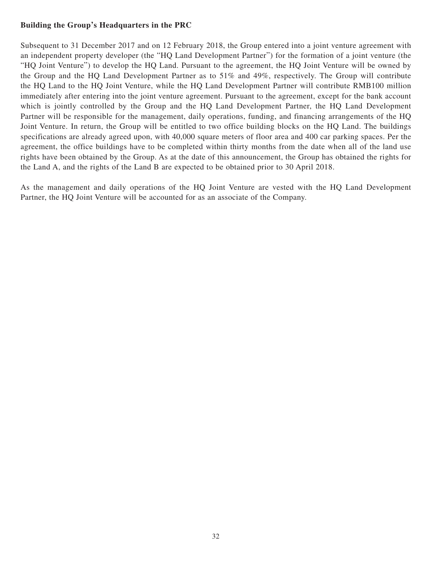# **Building the Group's Headquarters in the PRC**

Subsequent to 31 December 2017 and on 12 February 2018, the Group entered into a joint venture agreement with an independent property developer (the "HQ Land Development Partner") for the formation of a joint venture (the "HQ Joint Venture") to develop the HQ Land. Pursuant to the agreement, the HQ Joint Venture will be owned by the Group and the HQ Land Development Partner as to 51% and 49%, respectively. The Group will contribute the HQ Land to the HQ Joint Venture, while the HQ Land Development Partner will contribute RMB100 million immediately after entering into the joint venture agreement. Pursuant to the agreement, except for the bank account which is jointly controlled by the Group and the HQ Land Development Partner, the HQ Land Development Partner will be responsible for the management, daily operations, funding, and financing arrangements of the HQ Joint Venture. In return, the Group will be entitled to two office building blocks on the HQ Land. The buildings specifications are already agreed upon, with 40,000 square meters of floor area and 400 car parking spaces. Per the agreement, the office buildings have to be completed within thirty months from the date when all of the land use rights have been obtained by the Group. As at the date of this announcement, the Group has obtained the rights for the Land A, and the rights of the Land B are expected to be obtained prior to 30 April 2018.

As the management and daily operations of the HQ Joint Venture are vested with the HQ Land Development Partner, the HQ Joint Venture will be accounted for as an associate of the Company.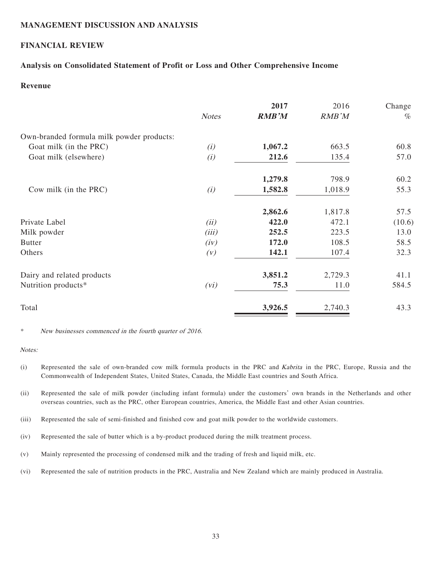# **MANAGEMENT DISCUSSION AND ANALYSIS**

# **FINANCIAL REVIEW**

# **Analysis on Consolidated Statement of Profit or Loss and Other Comprehensive Income**

# **Revenue**

|                                           |              | 2017         | 2016    | Change |
|-------------------------------------------|--------------|--------------|---------|--------|
|                                           | <b>Notes</b> | <b>RMB'M</b> | RMB'M   | $\%$   |
| Own-branded formula milk powder products: |              |              |         |        |
| Goat milk (in the PRC)                    | (i)          | 1,067.2      | 663.5   | 60.8   |
| Goat milk (elsewhere)                     | (i)          | 212.6        | 135.4   | 57.0   |
|                                           |              | 1,279.8      | 798.9   | 60.2   |
| Cow milk (in the PRC)                     | (i)          | 1,582.8      | 1,018.9 | 55.3   |
|                                           |              | 2,862.6      | 1,817.8 | 57.5   |
| Private Label                             | (ii)         | 422.0        | 472.1   | (10.6) |
| Milk powder                               | (iii)        | 252.5        | 223.5   | 13.0   |
| <b>Butter</b>                             | (iv)         | 172.0        | 108.5   | 58.5   |
| Others                                    | (V)          | 142.1        | 107.4   | 32.3   |
| Dairy and related products                |              | 3,851.2      | 2,729.3 | 41.1   |
| Nutrition products*                       | (vi)         | 75.3         | 11.0    | 584.5  |
| Total                                     |              | 3,926.5      | 2,740.3 | 43.3   |

\* New businesses commenced in the fourth quarter of 2016.

#### Notes:

- (i) Represented the sale of own-branded cow milk formula products in the PRC and Kabrita in the PRC, Europe, Russia and the Commonwealth of Independent States, United States, Canada, the Middle East countries and South Africa.
- (ii) Represented the sale of milk powder (including infant formula) under the customers' own brands in the Netherlands and other overseas countries, such as the PRC, other European countries, America, the Middle East and other Asian countries.
- (iii) Represented the sale of semi-finished and finished cow and goat milk powder to the worldwide customers.
- (iv) Represented the sale of butter which is a by-product produced during the milk treatment process.
- (v) Mainly represented the processing of condensed milk and the trading of fresh and liquid milk, etc.
- (vi) Represented the sale of nutrition products in the PRC, Australia and New Zealand which are mainly produced in Australia.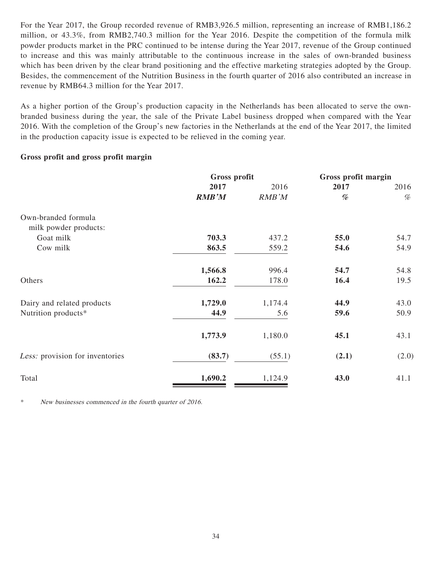For the Year 2017, the Group recorded revenue of RMB3,926.5 million, representing an increase of RMB1,186.2 million, or 43.3%, from RMB2,740.3 million for the Year 2016. Despite the competition of the formula milk powder products market in the PRC continued to be intense during the Year 2017, revenue of the Group continued to increase and this was mainly attributable to the continuous increase in the sales of own-branded business which has been driven by the clear brand positioning and the effective marketing strategies adopted by the Group. Besides, the commencement of the Nutrition Business in the fourth quarter of 2016 also contributed an increase in revenue by RMB64.3 million for the Year 2017.

As a higher portion of the Group's production capacity in the Netherlands has been allocated to serve the ownbranded business during the year, the sale of the Private Label business dropped when compared with the Year 2016. With the completion of the Group's new factories in the Netherlands at the end of the Year 2017, the limited in the production capacity issue is expected to be relieved in the coming year.

# **Gross profit and gross profit margin**

|                                 | Gross profit |         | Gross profit margin |       |
|---------------------------------|--------------|---------|---------------------|-------|
|                                 | 2017         | 2016    | 2017                | 2016  |
|                                 | <b>RMB'M</b> | RMB'M   | %                   | $\%$  |
| Own-branded formula             |              |         |                     |       |
| milk powder products:           |              |         |                     |       |
| Goat milk                       | 703.3        | 437.2   | 55.0                | 54.7  |
| Cow milk                        | 863.5        | 559.2   | 54.6                | 54.9  |
|                                 | 1,566.8      | 996.4   | 54.7                | 54.8  |
| Others                          | 162.2        | 178.0   | 16.4                | 19.5  |
| Dairy and related products      | 1,729.0      | 1,174.4 | 44.9                | 43.0  |
| Nutrition products*             | 44.9         | 5.6     | 59.6                | 50.9  |
|                                 | 1,773.9      | 1,180.0 | 45.1                | 43.1  |
| Less: provision for inventories | (83.7)       | (55.1)  | (2.1)               | (2.0) |
| Total                           | 1,690.2      | 1,124.9 | 43.0                | 41.1  |

\* New businesses commenced in the fourth quarter of 2016.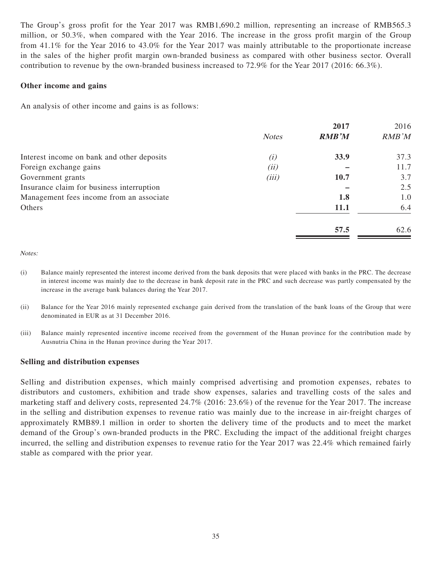The Group's gross profit for the Year 2017 was RMB1,690.2 million, representing an increase of RMB565.3 million, or 50.3%, when compared with the Year 2016. The increase in the gross profit margin of the Group from 41.1% for the Year 2016 to 43.0% for the Year 2017 was mainly attributable to the proportionate increase in the sales of the higher profit margin own-branded business as compared with other business sector. Overall contribution to revenue by the own-branded business increased to 72.9% for the Year 2017 (2016: 66.3%).

### **Other income and gains**

An analysis of other income and gains is as follows:

|                                            |              | 2017         | 2016  |
|--------------------------------------------|--------------|--------------|-------|
|                                            | <b>Notes</b> | <b>RMB'M</b> | RMB'M |
| Interest income on bank and other deposits | (i)          | 33.9         | 37.3  |
| Foreign exchange gains                     | (ii)         |              | 11.7  |
| Government grants                          | (iii)        | <b>10.7</b>  | 3.7   |
| Insurance claim for business interruption  |              |              | 2.5   |
| Management fees income from an associate   |              | 1.8          | 1.0   |
| Others                                     |              | <b>11.1</b>  | 6.4   |
|                                            |              | 57.5         | 62.6  |

Notes:

- (i) Balance mainly represented the interest income derived from the bank deposits that were placed with banks in the PRC. The decrease in interest income was mainly due to the decrease in bank deposit rate in the PRC and such decrease was partly compensated by the increase in the average bank balances during the Year 2017.
- (ii) Balance for the Year 2016 mainly represented exchange gain derived from the translation of the bank loans of the Group that were denominated in EUR as at 31 December 2016.
- (iii) Balance mainly represented incentive income received from the government of the Hunan province for the contribution made by Ausnutria China in the Hunan province during the Year 2017.

### **Selling and distribution expenses**

Selling and distribution expenses, which mainly comprised advertising and promotion expenses, rebates to distributors and customers, exhibition and trade show expenses, salaries and travelling costs of the sales and marketing staff and delivery costs, represented 24.7% (2016: 23.6%) of the revenue for the Year 2017. The increase in the selling and distribution expenses to revenue ratio was mainly due to the increase in air-freight charges of approximately RMB89.1 million in order to shorten the delivery time of the products and to meet the market demand of the Group's own-branded products in the PRC. Excluding the impact of the additional freight charges incurred, the selling and distribution expenses to revenue ratio for the Year 2017 was 22.4% which remained fairly stable as compared with the prior year.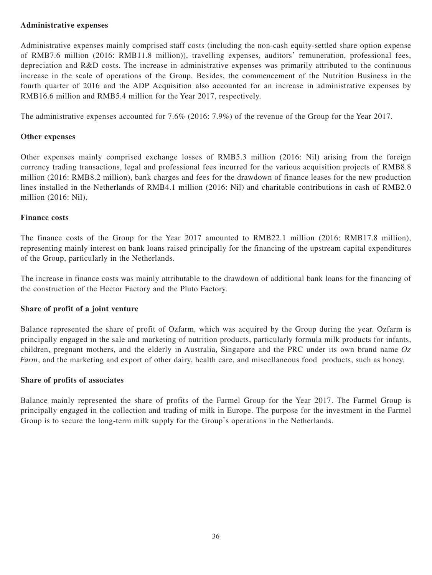# **Administrative expenses**

Administrative expenses mainly comprised staff costs (including the non-cash equity-settled share option expense of RMB7.6 million (2016: RMB11.8 million)), travelling expenses, auditors' remuneration, professional fees, depreciation and R&D costs. The increase in administrative expenses was primarily attributed to the continuous increase in the scale of operations of the Group. Besides, the commencement of the Nutrition Business in the fourth quarter of 2016 and the ADP Acquisition also accounted for an increase in administrative expenses by RMB16.6 million and RMB5.4 million for the Year 2017, respectively.

The administrative expenses accounted for 7.6% (2016: 7.9%) of the revenue of the Group for the Year 2017.

# **Other expenses**

Other expenses mainly comprised exchange losses of RMB5.3 million (2016: Nil) arising from the foreign currency trading transactions, legal and professional fees incurred for the various acquisition projects of RMB8.8 million (2016: RMB8.2 million), bank charges and fees for the drawdown of finance leases for the new production lines installed in the Netherlands of RMB4.1 million (2016: Nil) and charitable contributions in cash of RMB2.0 million (2016: Nil).

# **Finance costs**

The finance costs of the Group for the Year 2017 amounted to RMB22.1 million (2016: RMB17.8 million), representing mainly interest on bank loans raised principally for the financing of the upstream capital expenditures of the Group, particularly in the Netherlands.

The increase in finance costs was mainly attributable to the drawdown of additional bank loans for the financing of the construction of the Hector Factory and the Pluto Factory.

# **Share of profit of a joint venture**

Balance represented the share of profit of Ozfarm, which was acquired by the Group during the year. Ozfarm is principally engaged in the sale and marketing of nutrition products, particularly formula milk products for infants, children, pregnant mothers, and the elderly in Australia, Singapore and the PRC under its own brand name Oz Farm, and the marketing and export of other dairy, health care, and miscellaneous food products, such as honey.

# **Share of profits of associates**

Balance mainly represented the share of profits of the Farmel Group for the Year 2017. The Farmel Group is principally engaged in the collection and trading of milk in Europe. The purpose for the investment in the Farmel Group is to secure the long-term milk supply for the Group's operations in the Netherlands.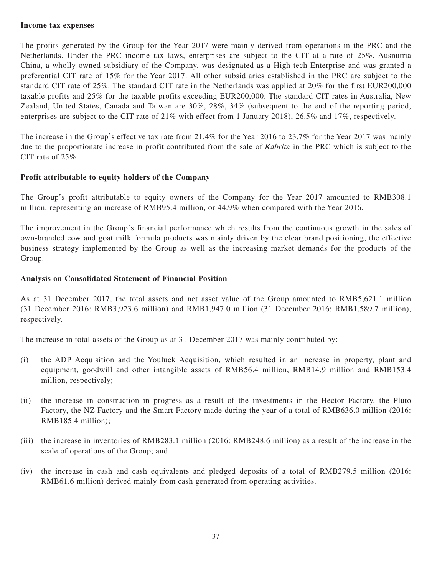### **Income tax expenses**

The profits generated by the Group for the Year 2017 were mainly derived from operations in the PRC and the Netherlands. Under the PRC income tax laws, enterprises are subject to the CIT at a rate of 25%. Ausnutria China, a wholly-owned subsidiary of the Company, was designated as a High-tech Enterprise and was granted a preferential CIT rate of 15% for the Year 2017. All other subsidiaries established in the PRC are subject to the standard CIT rate of 25%. The standard CIT rate in the Netherlands was applied at 20% for the first EUR200,000 taxable profits and 25% for the taxable profits exceeding EUR200,000. The standard CIT rates in Australia, New Zealand, United States, Canada and Taiwan are 30%, 28%, 34% (subsequent to the end of the reporting period, enterprises are subject to the CIT rate of 21% with effect from 1 January 2018), 26.5% and 17%, respectively.

The increase in the Group's effective tax rate from 21.4% for the Year 2016 to 23.7% for the Year 2017 was mainly due to the proportionate increase in profit contributed from the sale of Kabrita in the PRC which is subject to the CIT rate of 25%.

# **Profit attributable to equity holders of the Company**

The Group's profit attributable to equity owners of the Company for the Year 2017 amounted to RMB308.1 million, representing an increase of RMB95.4 million, or 44.9% when compared with the Year 2016.

The improvement in the Group's financial performance which results from the continuous growth in the sales of own-branded cow and goat milk formula products was mainly driven by the clear brand positioning, the effective business strategy implemented by the Group as well as the increasing market demands for the products of the Group.

# **Analysis on Consolidated Statement of Financial Position**

As at 31 December 2017, the total assets and net asset value of the Group amounted to RMB5,621.1 million (31 December 2016: RMB3,923.6 million) and RMB1,947.0 million (31 December 2016: RMB1,589.7 million), respectively.

The increase in total assets of the Group as at 31 December 2017 was mainly contributed by:

- (i) the ADP Acquisition and the Youluck Acquisition, which resulted in an increase in property, plant and equipment, goodwill and other intangible assets of RMB56.4 million, RMB14.9 million and RMB153.4 million, respectively;
- (ii) the increase in construction in progress as a result of the investments in the Hector Factory, the Pluto Factory, the NZ Factory and the Smart Factory made during the year of a total of RMB636.0 million (2016: RMB185.4 million);
- (iii) the increase in inventories of RMB283.1 million (2016: RMB248.6 million) as a result of the increase in the scale of operations of the Group; and
- (iv) the increase in cash and cash equivalents and pledged deposits of a total of RMB279.5 million (2016: RMB61.6 million) derived mainly from cash generated from operating activities.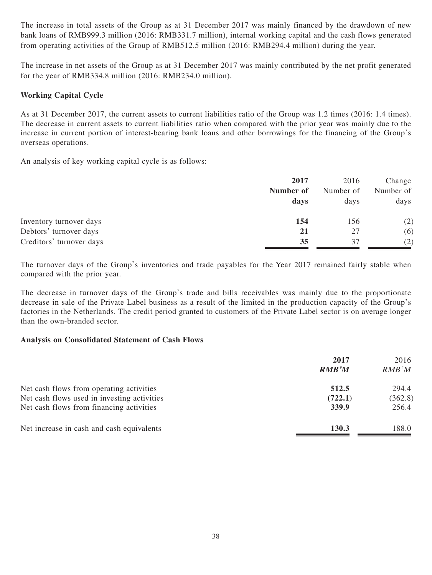The increase in total assets of the Group as at 31 December 2017 was mainly financed by the drawdown of new bank loans of RMB999.3 million (2016: RMB331.7 million), internal working capital and the cash flows generated from operating activities of the Group of RMB512.5 million (2016: RMB294.4 million) during the year.

The increase in net assets of the Group as at 31 December 2017 was mainly contributed by the net profit generated for the year of RMB334.8 million (2016: RMB234.0 million).

# **Working Capital Cycle**

As at 31 December 2017, the current assets to current liabilities ratio of the Group was 1.2 times (2016: 1.4 times). The decrease in current assets to current liabilities ratio when compared with the prior year was mainly due to the increase in current portion of interest-bearing bank loans and other borrowings for the financing of the Group's overseas operations.

An analysis of key working capital cycle is as follows:

|                          | 2017      | 2016      | Change    |
|--------------------------|-----------|-----------|-----------|
|                          | Number of | Number of | Number of |
|                          | days      | days      | days      |
| Inventory turnover days  | 154       | 156       | (2)       |
| Debtors' turnover days   | 21        | 27        | (6)       |
| Creditors' turnover days | 35        | 37        | (2)       |

The turnover days of the Group's inventories and trade payables for the Year 2017 remained fairly stable when compared with the prior year.

The decrease in turnover days of the Group's trade and bills receivables was mainly due to the proportionate decrease in sale of the Private Label business as a result of the limited in the production capacity of the Group's factories in the Netherlands. The credit period granted to customers of the Private Label sector is on average longer than the own-branded sector.

# **Analysis on Consolidated Statement of Cash Flows**

|                                             | 2017<br><b>RMB'M</b> | 2016<br>RMB'M |
|---------------------------------------------|----------------------|---------------|
| Net cash flows from operating activities    | 512.5                | 294.4         |
| Net cash flows used in investing activities | (722.1)              | (362.8)       |
| Net cash flows from financing activities    | 339.9                | 256.4         |
| Net increase in cash and cash equivalents   | 130.3                | 188.0         |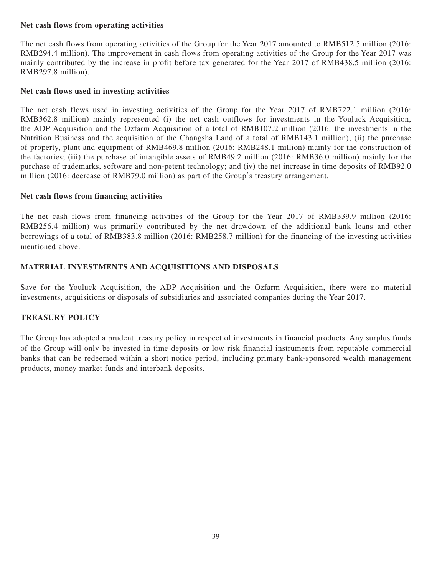# **Net cash flows from operating activities**

The net cash flows from operating activities of the Group for the Year 2017 amounted to RMB512.5 million (2016: RMB294.4 million). The improvement in cash flows from operating activities of the Group for the Year 2017 was mainly contributed by the increase in profit before tax generated for the Year 2017 of RMB438.5 million (2016: RMB297.8 million).

# **Net cash flows used in investing activities**

The net cash flows used in investing activities of the Group for the Year 2017 of RMB722.1 million (2016: RMB362.8 million) mainly represented (i) the net cash outflows for investments in the Youluck Acquisition, the ADP Acquisition and the Ozfarm Acquisition of a total of RMB107.2 million (2016: the investments in the Nutrition Business and the acquisition of the Changsha Land of a total of RMB143.1 million); (ii) the purchase of property, plant and equipment of RMB469.8 million (2016: RMB248.1 million) mainly for the construction of the factories; (iii) the purchase of intangible assets of RMB49.2 million (2016: RMB36.0 million) mainly for the purchase of trademarks, software and non-petent technology; and (iv) the net increase in time deposits of RMB92.0 million (2016: decrease of RMB79.0 million) as part of the Group's treasury arrangement.

# **Net cash flows from financing activities**

The net cash flows from financing activities of the Group for the Year 2017 of RMB339.9 million (2016: RMB256.4 million) was primarily contributed by the net drawdown of the additional bank loans and other borrowings of a total of RMB383.8 million (2016: RMB258.7 million) for the financing of the investing activities mentioned above.

# **MATERIAL INVESTMENTS AND ACQUISITIONS AND DISPOSALS**

Save for the Youluck Acquisition, the ADP Acquisition and the Ozfarm Acquisition, there were no material investments, acquisitions or disposals of subsidiaries and associated companies during the Year 2017.

# **TREASURY POLICY**

The Group has adopted a prudent treasury policy in respect of investments in financial products. Any surplus funds of the Group will only be invested in time deposits or low risk financial instruments from reputable commercial banks that can be redeemed within a short notice period, including primary bank-sponsored wealth management products, money market funds and interbank deposits.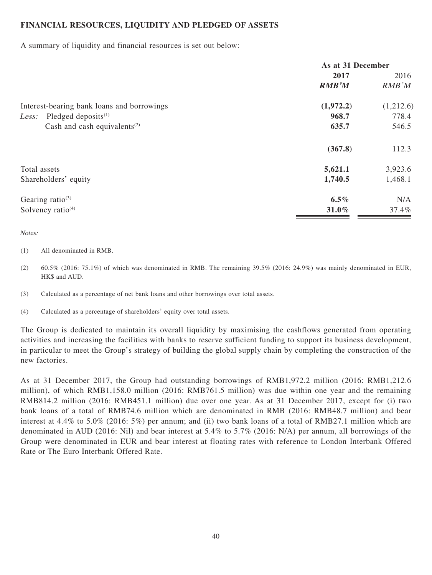# **FINANCIAL RESOURCES, LIQUIDITY AND PLEDGED OF ASSETS**

A summary of liquidity and financial resources is set out below:

|                                                       | As at 31 December |           |
|-------------------------------------------------------|-------------------|-----------|
|                                                       | 2017              | 2016      |
|                                                       | <b>RMB'M</b>      | RMB'M     |
| Interest-bearing bank loans and borrowings            | (1,972.2)         | (1,212.6) |
| Pledged deposits $(1)$<br>Less:                       | 968.7             | 778.4     |
| Cash and cash equivalents <sup><math>(2)</math></sup> | 635.7             | 546.5     |
|                                                       | (367.8)           | 112.3     |
| Total assets                                          | 5,621.1           | 3,923.6   |
| Shareholders' equity                                  | 1,740.5           | 1,468.1   |
| Gearing ratio $(3)$                                   | $6.5\%$           | N/A       |
| Solvency ratio <sup>(4)</sup>                         | 31.0%             | 37.4%     |

Notes:

#### (1) All denominated in RMB.

(2) 60.5% (2016: 75.1%) of which was denominated in RMB. The remaining 39.5% (2016: 24.9%) was mainly denominated in EUR, HK\$ and AUD.

(3) Calculated as a percentage of net bank loans and other borrowings over total assets.

(4) Calculated as a percentage of shareholders' equity over total assets.

The Group is dedicated to maintain its overall liquidity by maximising the cashflows generated from operating activities and increasing the facilities with banks to reserve sufficient funding to support its business development, in particular to meet the Group's strategy of building the global supply chain by completing the construction of the new factories.

As at 31 December 2017, the Group had outstanding borrowings of RMB1,972.2 million (2016: RMB1,212.6 million), of which RMB1,158.0 million (2016: RMB761.5 million) was due within one year and the remaining RMB814.2 million (2016: RMB451.1 million) due over one year. As at 31 December 2017, except for (i) two bank loans of a total of RMB74.6 million which are denominated in RMB (2016: RMB48.7 million) and bear interest at 4.4% to 5.0% (2016: 5%) per annum; and (ii) two bank loans of a total of RMB27.1 million which are denominated in AUD (2016: Nil) and bear interest at 5.4% to 5.7% (2016: N/A) per annum, all borrowings of the Group were denominated in EUR and bear interest at floating rates with reference to London Interbank Offered Rate or The Euro Interbank Offered Rate.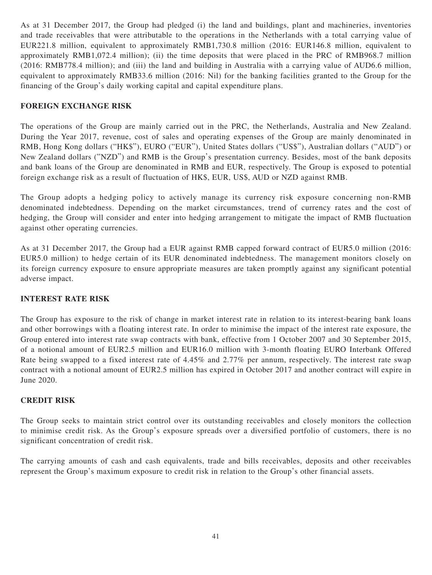As at 31 December 2017, the Group had pledged (i) the land and buildings, plant and machineries, inventories and trade receivables that were attributable to the operations in the Netherlands with a total carrying value of EUR221.8 million, equivalent to approximately RMB1,730.8 million (2016: EUR146.8 million, equivalent to approximately RMB1,072.4 million); (ii) the time deposits that were placed in the PRC of RMB968.7 million (2016: RMB778.4 million); and (iii) the land and building in Australia with a carrying value of AUD6.6 million, equivalent to approximately RMB33.6 million (2016: Nil) for the banking facilities granted to the Group for the financing of the Group's daily working capital and capital expenditure plans.

# **FOREIGN EXCHANGE RISK**

The operations of the Group are mainly carried out in the PRC, the Netherlands, Australia and New Zealand. During the Year 2017, revenue, cost of sales and operating expenses of the Group are mainly denominated in RMB, Hong Kong dollars ("HK\$"), EURO ("EUR"), United States dollars ("US\$"), Australian dollars ("AUD") or New Zealand dollars ("NZD") and RMB is the Group's presentation currency. Besides, most of the bank deposits and bank loans of the Group are denominated in RMB and EUR, respectively. The Group is exposed to potential foreign exchange risk as a result of fluctuation of HK\$, EUR, US\$, AUD or NZD against RMB.

The Group adopts a hedging policy to actively manage its currency risk exposure concerning non-RMB denominated indebtedness. Depending on the market circumstances, trend of currency rates and the cost of hedging, the Group will consider and enter into hedging arrangement to mitigate the impact of RMB fluctuation against other operating currencies.

As at 31 December 2017, the Group had a EUR against RMB capped forward contract of EUR5.0 million (2016: EUR5.0 million) to hedge certain of its EUR denominated indebtedness. The management monitors closely on its foreign currency exposure to ensure appropriate measures are taken promptly against any significant potential adverse impact.

# **INTEREST RATE RISK**

The Group has exposure to the risk of change in market interest rate in relation to its interest-bearing bank loans and other borrowings with a floating interest rate. In order to minimise the impact of the interest rate exposure, the Group entered into interest rate swap contracts with bank, effective from 1 October 2007 and 30 September 2015, of a notional amount of EUR2.5 million and EUR16.0 million with 3-month floating EURO Interbank Offered Rate being swapped to a fixed interest rate of 4.45% and 2.77% per annum, respectively. The interest rate swap contract with a notional amount of EUR2.5 million has expired in October 2017 and another contract will expire in June 2020.

# **CREDIT RISK**

The Group seeks to maintain strict control over its outstanding receivables and closely monitors the collection to minimise credit risk. As the Group's exposure spreads over a diversified portfolio of customers, there is no significant concentration of credit risk.

The carrying amounts of cash and cash equivalents, trade and bills receivables, deposits and other receivables represent the Group's maximum exposure to credit risk in relation to the Group's other financial assets.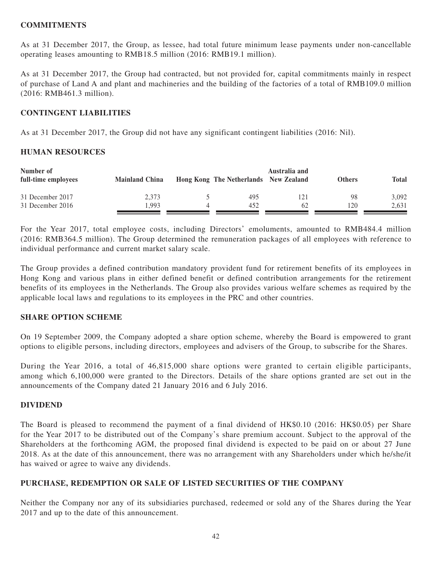# **COMMITMENTS**

As at 31 December 2017, the Group, as lessee, had total future minimum lease payments under non-cancellable operating leases amounting to RMB18.5 million (2016: RMB19.1 million).

As at 31 December 2017, the Group had contracted, but not provided for, capital commitments mainly in respect of purchase of Land A and plant and machineries and the building of the factories of a total of RMB109.0 million (2016: RMB461.3 million).

# **CONTINGENT LIABILITIES**

As at 31 December 2017, the Group did not have any significant contingent liabilities (2016: Nil).

# **HUMAN RESOURCES**

| Number of<br>full-time employees | <b>Mainland China</b> | Hong Kong The Netherlands New Zealand | Australia and | <b>Others</b> | <b>Total</b> |
|----------------------------------|-----------------------|---------------------------------------|---------------|---------------|--------------|
| 31 December 2017                 | 2.373                 | 495                                   | 121           | 98            | 3.092        |
| 31 December 2016                 | .993                  | 452                                   | 62            | 120           | 2,631        |

For the Year 2017, total employee costs, including Directors' emoluments, amounted to RMB484.4 million (2016: RMB364.5 million). The Group determined the remuneration packages of all employees with reference to individual performance and current market salary scale.

The Group provides a defined contribution mandatory provident fund for retirement benefits of its employees in Hong Kong and various plans in either defined benefit or defined contribution arrangements for the retirement benefits of its employees in the Netherlands. The Group also provides various welfare schemes as required by the applicable local laws and regulations to its employees in the PRC and other countries.

# **SHARE OPTION SCHEME**

On 19 September 2009, the Company adopted a share option scheme, whereby the Board is empowered to grant options to eligible persons, including directors, employees and advisers of the Group, to subscribe for the Shares.

During the Year 2016, a total of 46,815,000 share options were granted to certain eligible participants, among which 6,100,000 were granted to the Directors. Details of the share options granted are set out in the announcements of the Company dated 21 January 2016 and 6 July 2016.

# **DIVIDEND**

The Board is pleased to recommend the payment of a final dividend of HK\$0.10 (2016: HK\$0.05) per Share for the Year 2017 to be distributed out of the Company's share premium account. Subject to the approval of the Shareholders at the forthcoming AGM, the proposed final dividend is expected to be paid on or about 27 June 2018. As at the date of this announcement, there was no arrangement with any Shareholders under which he/she/it has waived or agree to waive any dividends.

# **PURCHASE, REDEMPTION OR SALE OF LISTED SECURITIES OF THE COMPANY**

Neither the Company nor any of its subsidiaries purchased, redeemed or sold any of the Shares during the Year 2017 and up to the date of this announcement.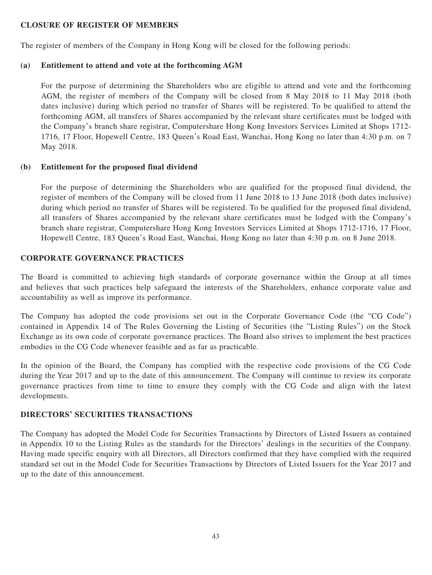# **CLOSURE OF REGISTER OF MEMBERS**

The register of members of the Company in Hong Kong will be closed for the following periods:

# **(a) Entitlement to attend and vote at the forthcoming AGM**

For the purpose of determining the Shareholders who are eligible to attend and vote and the forthcoming AGM, the register of members of the Company will be closed from 8 May 2018 to 11 May 2018 (both dates inclusive) during which period no transfer of Shares will be registered. To be qualified to attend the forthcoming AGM, all transfers of Shares accompanied by the relevant share certificates must be lodged with the Company's branch share registrar, Computershare Hong Kong Investors Services Limited at Shops 1712- 1716, 17 Floor, Hopewell Centre, 183 Queen's Road East, Wanchai, Hong Kong no later than 4:30 p.m. on 7 May 2018.

# **(b) Entitlement for the proposed final dividend**

For the purpose of determining the Shareholders who are qualified for the proposed final dividend, the register of members of the Company will be closed from 11 June 2018 to 13 June 2018 (both dates inclusive) during which period no transfer of Shares will be registered. To be qualified for the proposed final dividend, all transfers of Shares accompanied by the relevant share certificates must be lodged with the Company's branch share registrar, Computershare Hong Kong Investors Services Limited at Shops 1712-1716, 17 Floor, Hopewell Centre, 183 Queen's Road East, Wanchai, Hong Kong no later than 4:30 p.m. on 8 June 2018.

# **CORPORATE GOVERNANCE PRACTICES**

The Board is committed to achieving high standards of corporate governance within the Group at all times and believes that such practices help safeguard the interests of the Shareholders, enhance corporate value and accountability as well as improve its performance.

The Company has adopted the code provisions set out in the Corporate Governance Code (the "CG Code") contained in Appendix 14 of The Rules Governing the Listing of Securities (the "Listing Rules") on the Stock Exchange as its own code of corporate governance practices. The Board also strives to implement the best practices embodies in the CG Code whenever feasible and as far as practicable.

In the opinion of the Board, the Company has complied with the respective code provisions of the CG Code during the Year 2017 and up to the date of this announcement. The Company will continue to review its corporate governance practices from time to time to ensure they comply with the CG Code and align with the latest developments.

# **DIRECTORS' SECURITIES TRANSACTIONS**

The Company has adopted the Model Code for Securities Transactions by Directors of Listed Issuers as contained in Appendix 10 to the Listing Rules as the standards for the Directors' dealings in the securities of the Company. Having made specific enquiry with all Directors, all Directors confirmed that they have complied with the required standard set out in the Model Code for Securities Transactions by Directors of Listed Issuers for the Year 2017 and up to the date of this announcement.